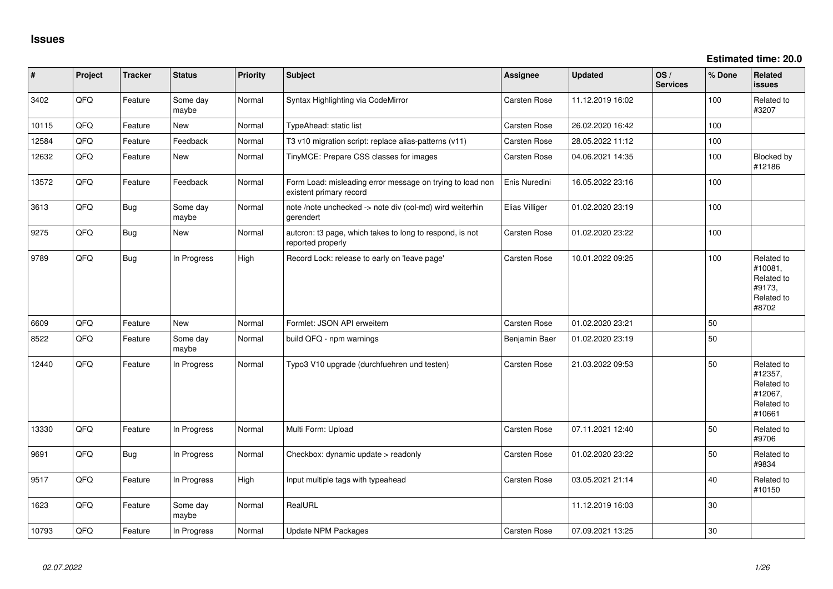| #     | Project | <b>Tracker</b> | <b>Status</b>     | <b>Priority</b> | <b>Subject</b>                                                                       | <b>Assignee</b> | <b>Updated</b>   | OS/<br><b>Services</b> | % Done | Related<br><b>issues</b>                                               |
|-------|---------|----------------|-------------------|-----------------|--------------------------------------------------------------------------------------|-----------------|------------------|------------------------|--------|------------------------------------------------------------------------|
| 3402  | QFQ     | Feature        | Some day<br>maybe | Normal          | Syntax Highlighting via CodeMirror                                                   | Carsten Rose    | 11.12.2019 16:02 |                        | 100    | Related to<br>#3207                                                    |
| 10115 | QFQ     | Feature        | <b>New</b>        | Normal          | TypeAhead: static list                                                               | Carsten Rose    | 26.02.2020 16:42 |                        | 100    |                                                                        |
| 12584 | QFQ     | Feature        | Feedback          | Normal          | T3 v10 migration script: replace alias-patterns (v11)                                | Carsten Rose    | 28.05.2022 11:12 |                        | 100    |                                                                        |
| 12632 | QFQ     | Feature        | New               | Normal          | TinyMCE: Prepare CSS classes for images                                              | Carsten Rose    | 04.06.2021 14:35 |                        | 100    | Blocked by<br>#12186                                                   |
| 13572 | QFQ     | Feature        | Feedback          | Normal          | Form Load: misleading error message on trying to load non<br>existent primary record | Enis Nuredini   | 16.05.2022 23:16 |                        | 100    |                                                                        |
| 3613  | QFQ     | <b>Bug</b>     | Some day<br>maybe | Normal          | note /note unchecked -> note div (col-md) wird weiterhin<br>gerendert                | Elias Villiger  | 01.02.2020 23:19 |                        | 100    |                                                                        |
| 9275  | QFQ     | <b>Bug</b>     | New               | Normal          | autcron: t3 page, which takes to long to respond, is not<br>reported properly        | Carsten Rose    | 01.02.2020 23:22 |                        | 100    |                                                                        |
| 9789  | QFQ     | <b>Bug</b>     | In Progress       | High            | Record Lock: release to early on 'leave page'                                        | Carsten Rose    | 10.01.2022 09:25 |                        | 100    | Related to<br>#10081,<br>Related to<br>#9173,<br>Related to<br>#8702   |
| 6609  | QFQ     | Feature        | <b>New</b>        | Normal          | Formlet: JSON API erweitern                                                          | Carsten Rose    | 01.02.2020 23:21 |                        | 50     |                                                                        |
| 8522  | QFQ     | Feature        | Some day<br>maybe | Normal          | build QFQ - npm warnings                                                             | Benjamin Baer   | 01.02.2020 23:19 |                        | 50     |                                                                        |
| 12440 | QFQ     | Feature        | In Progress       | Normal          | Typo3 V10 upgrade (durchfuehren und testen)                                          | Carsten Rose    | 21.03.2022 09:53 |                        | 50     | Related to<br>#12357,<br>Related to<br>#12067,<br>Related to<br>#10661 |
| 13330 | QFQ     | Feature        | In Progress       | Normal          | Multi Form: Upload                                                                   | Carsten Rose    | 07.11.2021 12:40 |                        | 50     | Related to<br>#9706                                                    |
| 9691  | QFQ     | <b>Bug</b>     | In Progress       | Normal          | Checkbox: dynamic update > readonly                                                  | Carsten Rose    | 01.02.2020 23:22 |                        | 50     | Related to<br>#9834                                                    |
| 9517  | QFQ     | Feature        | In Progress       | High            | Input multiple tags with typeahead                                                   | Carsten Rose    | 03.05.2021 21:14 |                        | 40     | Related to<br>#10150                                                   |
| 1623  | QFQ     | Feature        | Some day<br>maybe | Normal          | RealURL                                                                              |                 | 11.12.2019 16:03 |                        | 30     |                                                                        |
| 10793 | QFQ     | Feature        | In Progress       | Normal          | <b>Update NPM Packages</b>                                                           | Carsten Rose    | 07.09.2021 13:25 |                        | $30\,$ |                                                                        |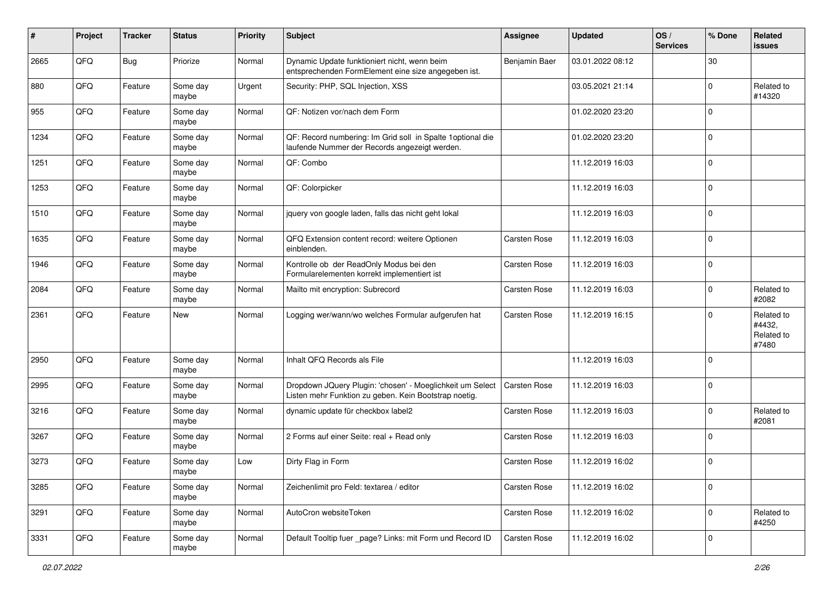| #    | Project | <b>Tracker</b> | <b>Status</b>     | <b>Priority</b> | Subject                                                                                                            | <b>Assignee</b> | <b>Updated</b>   | OS/<br><b>Services</b> | % Done      | Related<br>issues                           |
|------|---------|----------------|-------------------|-----------------|--------------------------------------------------------------------------------------------------------------------|-----------------|------------------|------------------------|-------------|---------------------------------------------|
| 2665 | QFQ     | <b>Bug</b>     | Priorize          | Normal          | Dynamic Update funktioniert nicht, wenn beim<br>entsprechenden FormElement eine size angegeben ist.                | Benjamin Baer   | 03.01.2022 08:12 |                        | 30          |                                             |
| 880  | QFQ     | Feature        | Some day<br>maybe | Urgent          | Security: PHP, SQL Injection, XSS                                                                                  |                 | 03.05.2021 21:14 |                        | $\Omega$    | Related to<br>#14320                        |
| 955  | QFQ     | Feature        | Some day<br>maybe | Normal          | QF: Notizen vor/nach dem Form                                                                                      |                 | 01.02.2020 23:20 |                        | $\Omega$    |                                             |
| 1234 | QFQ     | Feature        | Some day<br>maybe | Normal          | QF: Record numbering: Im Grid soll in Spalte 1 optional die<br>laufende Nummer der Records angezeigt werden.       |                 | 01.02.2020 23:20 |                        | $\Omega$    |                                             |
| 1251 | QFQ     | Feature        | Some day<br>maybe | Normal          | QF: Combo                                                                                                          |                 | 11.12.2019 16:03 |                        | $\Omega$    |                                             |
| 1253 | QFQ     | Feature        | Some day<br>maybe | Normal          | QF: Colorpicker                                                                                                    |                 | 11.12.2019 16:03 |                        | $\Omega$    |                                             |
| 1510 | QFQ     | Feature        | Some day<br>maybe | Normal          | jquery von google laden, falls das nicht geht lokal                                                                |                 | 11.12.2019 16:03 |                        | $\Omega$    |                                             |
| 1635 | QFQ     | Feature        | Some day<br>maybe | Normal          | QFQ Extension content record: weitere Optionen<br>einblenden.                                                      | Carsten Rose    | 11.12.2019 16:03 |                        | $\Omega$    |                                             |
| 1946 | QFQ     | Feature        | Some day<br>maybe | Normal          | Kontrolle ob der ReadOnly Modus bei den<br>Formularelementen korrekt implementiert ist                             | Carsten Rose    | 11.12.2019 16:03 |                        | $\mathbf 0$ |                                             |
| 2084 | QFQ     | Feature        | Some day<br>maybe | Normal          | Mailto mit encryption: Subrecord                                                                                   | Carsten Rose    | 11.12.2019 16:03 |                        | $\Omega$    | Related to<br>#2082                         |
| 2361 | QFQ     | Feature        | New               | Normal          | Logging wer/wann/wo welches Formular aufgerufen hat                                                                | Carsten Rose    | 11.12.2019 16:15 |                        | $\Omega$    | Related to<br>#4432,<br>Related to<br>#7480 |
| 2950 | QFQ     | Feature        | Some day<br>maybe | Normal          | Inhalt QFQ Records als File                                                                                        |                 | 11.12.2019 16:03 |                        | $\Omega$    |                                             |
| 2995 | QFQ     | Feature        | Some day<br>maybe | Normal          | Dropdown JQuery Plugin: 'chosen' - Moeglichkeit um Select<br>Listen mehr Funktion zu geben. Kein Bootstrap noetig. | Carsten Rose    | 11.12.2019 16:03 |                        | $\Omega$    |                                             |
| 3216 | QFQ     | Feature        | Some day<br>maybe | Normal          | dynamic update für checkbox label2                                                                                 | Carsten Rose    | 11.12.2019 16:03 |                        | $\Omega$    | Related to<br>#2081                         |
| 3267 | QFQ     | Feature        | Some day<br>maybe | Normal          | 2 Forms auf einer Seite: real + Read only                                                                          | Carsten Rose    | 11.12.2019 16:03 |                        | $\Omega$    |                                             |
| 3273 | QFQ     | Feature        | Some day<br>maybe | Low             | Dirty Flag in Form                                                                                                 | Carsten Rose    | 11.12.2019 16:02 |                        | $\Omega$    |                                             |
| 3285 | QFQ     | Feature        | Some day<br>maybe | Normal          | Zeichenlimit pro Feld: textarea / editor                                                                           | Carsten Rose    | 11.12.2019 16:02 |                        | $\mathbf 0$ |                                             |
| 3291 | QFQ     | Feature        | Some day<br>maybe | Normal          | AutoCron websiteToken                                                                                              | Carsten Rose    | 11.12.2019 16:02 |                        | $\mathbf 0$ | Related to<br>#4250                         |
| 3331 | QFQ     | Feature        | Some day<br>maybe | Normal          | Default Tooltip fuer _page? Links: mit Form und Record ID                                                          | Carsten Rose    | 11.12.2019 16:02 |                        | $\mathbf 0$ |                                             |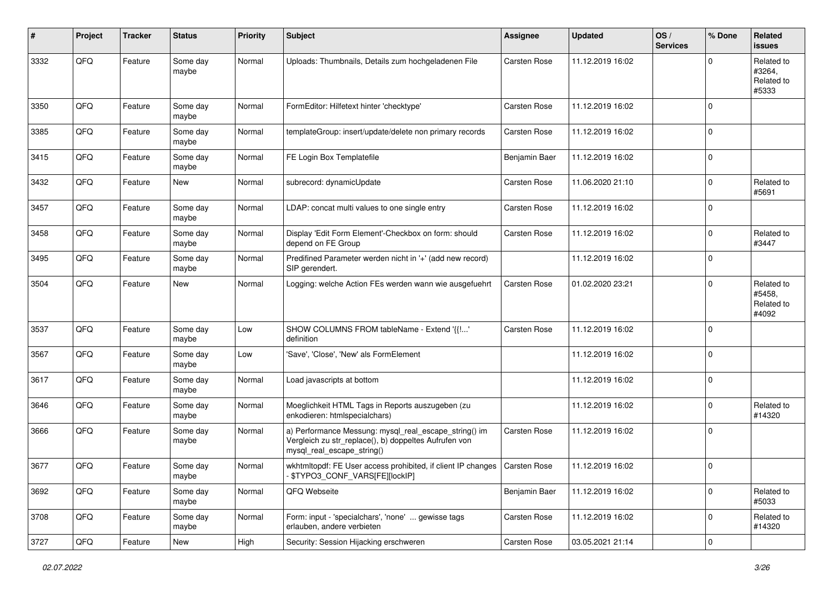| #    | Project | <b>Tracker</b> | <b>Status</b>     | <b>Priority</b> | Subject                                                                                                                                      | <b>Assignee</b> | <b>Updated</b>   | OS/<br><b>Services</b> | % Done      | Related<br>issues                           |
|------|---------|----------------|-------------------|-----------------|----------------------------------------------------------------------------------------------------------------------------------------------|-----------------|------------------|------------------------|-------------|---------------------------------------------|
| 3332 | QFQ     | Feature        | Some day<br>maybe | Normal          | Uploads: Thumbnails, Details zum hochgeladenen File                                                                                          | Carsten Rose    | 11.12.2019 16:02 |                        | $\Omega$    | Related to<br>#3264,<br>Related to<br>#5333 |
| 3350 | QFQ     | Feature        | Some day<br>maybe | Normal          | FormEditor: Hilfetext hinter 'checktype'                                                                                                     | Carsten Rose    | 11.12.2019 16:02 |                        | $\Omega$    |                                             |
| 3385 | QFQ     | Feature        | Some day<br>maybe | Normal          | templateGroup: insert/update/delete non primary records                                                                                      | Carsten Rose    | 11.12.2019 16:02 |                        | $\Omega$    |                                             |
| 3415 | QFQ     | Feature        | Some day<br>maybe | Normal          | FE Login Box Templatefile                                                                                                                    | Benjamin Baer   | 11.12.2019 16:02 |                        | $\Omega$    |                                             |
| 3432 | QFQ     | Feature        | New               | Normal          | subrecord: dynamicUpdate                                                                                                                     | Carsten Rose    | 11.06.2020 21:10 |                        | $\mathbf 0$ | Related to<br>#5691                         |
| 3457 | QFQ     | Feature        | Some day<br>maybe | Normal          | LDAP: concat multi values to one single entry                                                                                                | Carsten Rose    | 11.12.2019 16:02 |                        | $\Omega$    |                                             |
| 3458 | QFQ     | Feature        | Some day<br>maybe | Normal          | Display 'Edit Form Element'-Checkbox on form: should<br>depend on FE Group                                                                   | Carsten Rose    | 11.12.2019 16:02 |                        | $\Omega$    | Related to<br>#3447                         |
| 3495 | QFQ     | Feature        | Some day<br>maybe | Normal          | Predifined Parameter werden nicht in '+' (add new record)<br>SIP gerendert.                                                                  |                 | 11.12.2019 16:02 |                        | $\Omega$    |                                             |
| 3504 | QFQ     | Feature        | New               | Normal          | Logging: welche Action FEs werden wann wie ausgefuehrt                                                                                       | Carsten Rose    | 01.02.2020 23:21 |                        | $\Omega$    | Related to<br>#5458,<br>Related to<br>#4092 |
| 3537 | QFQ     | Feature        | Some day<br>maybe | Low             | SHOW COLUMNS FROM tableName - Extend '{{!'<br>definition                                                                                     | Carsten Rose    | 11.12.2019 16:02 |                        | $\Omega$    |                                             |
| 3567 | QFQ     | Feature        | Some day<br>maybe | Low             | 'Save', 'Close', 'New' als FormElement                                                                                                       |                 | 11.12.2019 16:02 |                        | $\Omega$    |                                             |
| 3617 | QFQ     | Feature        | Some day<br>maybe | Normal          | Load javascripts at bottom                                                                                                                   |                 | 11.12.2019 16:02 |                        | $\Omega$    |                                             |
| 3646 | QFQ     | Feature        | Some day<br>maybe | Normal          | Moeglichkeit HTML Tags in Reports auszugeben (zu<br>enkodieren: htmlspecialchars)                                                            |                 | 11.12.2019 16:02 |                        | $\Omega$    | Related to<br>#14320                        |
| 3666 | QFQ     | Feature        | Some day<br>maybe | Normal          | a) Performance Messung: mysql_real_escape_string() im<br>Vergleich zu str_replace(), b) doppeltes Aufrufen von<br>mysql_real_escape_string() | Carsten Rose    | 11.12.2019 16:02 |                        | $\Omega$    |                                             |
| 3677 | QFQ     | Feature        | Some day<br>maybe | Normal          | wkhtmitopdf: FE User access prohibited, if client IP changes   Carsten Rose<br>- \$TYPO3_CONF_VARS[FE][lockIP]                               |                 | 11.12.2019 16:02 |                        | $\mathbf 0$ |                                             |
| 3692 | QFQ     | Feature        | Some day<br>maybe | Normal          | QFQ Webseite                                                                                                                                 | Benjamin Baer   | 11.12.2019 16:02 |                        | $\mathbf 0$ | Related to<br>#5033                         |
| 3708 | QFQ     | Feature        | Some day<br>maybe | Normal          | Form: input - 'specialchars', 'none'  gewisse tags<br>erlauben, andere verbieten                                                             | Carsten Rose    | 11.12.2019 16:02 |                        | $\mathbf 0$ | Related to<br>#14320                        |
| 3727 | QFG     | Feature        | New               | High            | Security: Session Hijacking erschweren                                                                                                       | Carsten Rose    | 03.05.2021 21:14 |                        | $\pmb{0}$   |                                             |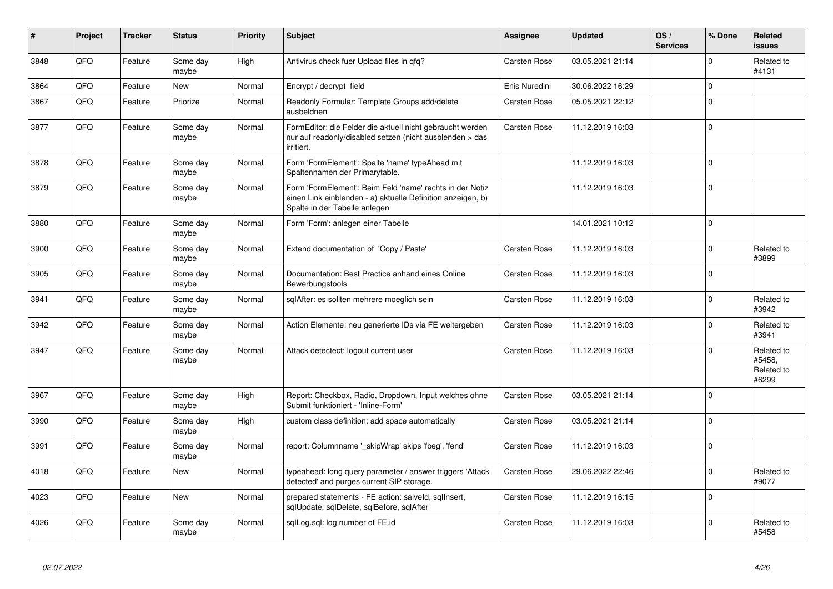| #    | Project | <b>Tracker</b> | <b>Status</b>     | <b>Priority</b> | <b>Subject</b>                                                                                                                                           | <b>Assignee</b>     | <b>Updated</b>   | OS/<br><b>Services</b> | % Done      | Related<br><b>issues</b>                    |
|------|---------|----------------|-------------------|-----------------|----------------------------------------------------------------------------------------------------------------------------------------------------------|---------------------|------------------|------------------------|-------------|---------------------------------------------|
| 3848 | QFQ     | Feature        | Some day<br>maybe | High            | Antivirus check fuer Upload files in qfq?                                                                                                                | Carsten Rose        | 03.05.2021 21:14 |                        | $\Omega$    | Related to<br>#4131                         |
| 3864 | QFQ     | Feature        | <b>New</b>        | Normal          | Encrypt / decrypt field                                                                                                                                  | Enis Nuredini       | 30.06.2022 16:29 |                        | $\mathbf 0$ |                                             |
| 3867 | QFQ     | Feature        | Priorize          | Normal          | Readonly Formular: Template Groups add/delete<br>ausbeldnen                                                                                              | <b>Carsten Rose</b> | 05.05.2021 22:12 |                        | $\Omega$    |                                             |
| 3877 | QFQ     | Feature        | Some day<br>maybe | Normal          | FormEditor: die Felder die aktuell nicht gebraucht werden<br>nur auf readonly/disabled setzen (nicht ausblenden > das<br>irritiert.                      | <b>Carsten Rose</b> | 11.12.2019 16:03 |                        | $\mathbf 0$ |                                             |
| 3878 | QFQ     | Feature        | Some day<br>maybe | Normal          | Form 'FormElement': Spalte 'name' typeAhead mit<br>Spaltennamen der Primarytable.                                                                        |                     | 11.12.2019 16:03 |                        | $\Omega$    |                                             |
| 3879 | QFQ     | Feature        | Some day<br>maybe | Normal          | Form 'FormElement': Beim Feld 'name' rechts in der Notiz<br>einen Link einblenden - a) aktuelle Definition anzeigen, b)<br>Spalte in der Tabelle anlegen |                     | 11.12.2019 16:03 |                        | $\Omega$    |                                             |
| 3880 | QFQ     | Feature        | Some day<br>maybe | Normal          | Form 'Form': anlegen einer Tabelle                                                                                                                       |                     | 14.01.2021 10:12 |                        | $\Omega$    |                                             |
| 3900 | QFQ     | Feature        | Some day<br>maybe | Normal          | Extend documentation of 'Copy / Paste'                                                                                                                   | Carsten Rose        | 11.12.2019 16:03 |                        | $\mathbf 0$ | Related to<br>#3899                         |
| 3905 | QFQ     | Feature        | Some day<br>maybe | Normal          | Documentation: Best Practice anhand eines Online<br>Bewerbungstools                                                                                      | Carsten Rose        | 11.12.2019 16:03 |                        | $\Omega$    |                                             |
| 3941 | QFQ     | Feature        | Some day<br>maybe | Normal          | sqlAfter: es sollten mehrere moeglich sein                                                                                                               | Carsten Rose        | 11.12.2019 16:03 |                        | $\Omega$    | Related to<br>#3942                         |
| 3942 | QFQ     | Feature        | Some day<br>maybe | Normal          | Action Elemente: neu generierte IDs via FE weitergeben                                                                                                   | Carsten Rose        | 11.12.2019 16:03 |                        | $\Omega$    | Related to<br>#3941                         |
| 3947 | QFQ     | Feature        | Some day<br>maybe | Normal          | Attack detectect: logout current user                                                                                                                    | Carsten Rose        | 11.12.2019 16:03 |                        | $\Omega$    | Related to<br>#5458.<br>Related to<br>#6299 |
| 3967 | QFQ     | Feature        | Some day<br>maybe | High            | Report: Checkbox, Radio, Dropdown, Input welches ohne<br>Submit funktioniert - 'Inline-Form'                                                             | <b>Carsten Rose</b> | 03.05.2021 21:14 |                        | $\Omega$    |                                             |
| 3990 | QFQ     | Feature        | Some day<br>maybe | High            | custom class definition: add space automatically                                                                                                         | Carsten Rose        | 03.05.2021 21:14 |                        | $\mathbf 0$ |                                             |
| 3991 | QFQ     | Feature        | Some day<br>maybe | Normal          | report: Columnname ' skipWrap' skips 'fbeg', 'fend'                                                                                                      | Carsten Rose        | 11.12.2019 16:03 |                        | $\Omega$    |                                             |
| 4018 | QFQ     | Feature        | New               | Normal          | typeahead: long query parameter / answer triggers 'Attack<br>detected' and purges current SIP storage.                                                   | Carsten Rose        | 29.06.2022 22:46 |                        | $\Omega$    | Related to<br>#9077                         |
| 4023 | QFQ     | Feature        | <b>New</b>        | Normal          | prepared statements - FE action: salveld, sqlInsert,<br>sqlUpdate, sqlDelete, sqlBefore, sqlAfter                                                        | Carsten Rose        | 11.12.2019 16:15 |                        | $\Omega$    |                                             |
| 4026 | QFQ     | Feature        | Some day<br>maybe | Normal          | sqlLog.sql: log number of FE.id                                                                                                                          | Carsten Rose        | 11.12.2019 16:03 |                        | $\Omega$    | Related to<br>#5458                         |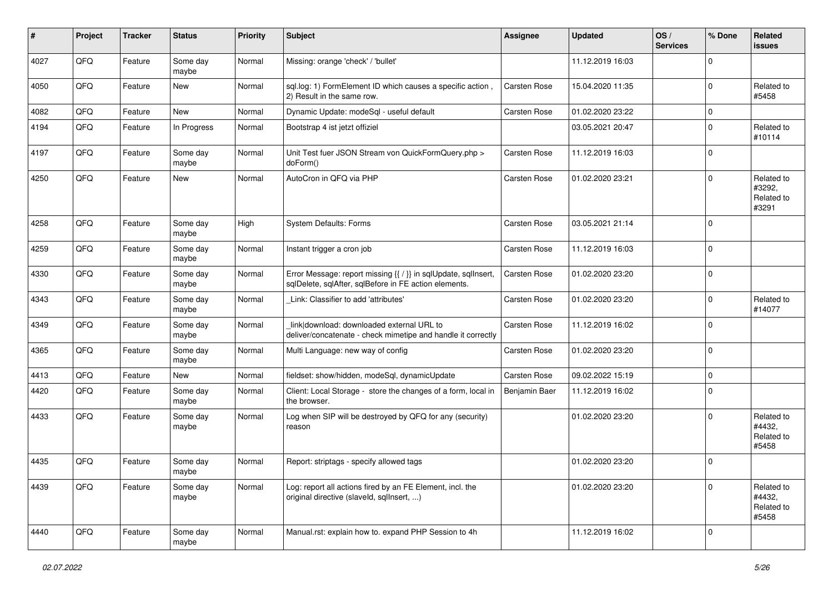| #    | Project | <b>Tracker</b> | <b>Status</b>     | <b>Priority</b> | <b>Subject</b>                                                                                                          | <b>Assignee</b>     | <b>Updated</b>   | OS/<br><b>Services</b> | % Done      | Related<br><b>issues</b>                    |
|------|---------|----------------|-------------------|-----------------|-------------------------------------------------------------------------------------------------------------------------|---------------------|------------------|------------------------|-------------|---------------------------------------------|
| 4027 | QFQ     | Feature        | Some day<br>maybe | Normal          | Missing: orange 'check' / 'bullet'                                                                                      |                     | 11.12.2019 16:03 |                        | 0           |                                             |
| 4050 | QFQ     | Feature        | <b>New</b>        | Normal          | sql.log: 1) FormElement ID which causes a specific action,<br>2) Result in the same row.                                | Carsten Rose        | 15.04.2020 11:35 |                        | 0           | Related to<br>#5458                         |
| 4082 | QFQ     | Feature        | <b>New</b>        | Normal          | Dynamic Update: modeSql - useful default                                                                                | <b>Carsten Rose</b> | 01.02.2020 23:22 |                        | 0           |                                             |
| 4194 | QFQ     | Feature        | In Progress       | Normal          | Bootstrap 4 ist jetzt offiziel                                                                                          |                     | 03.05.2021 20:47 |                        | $\Omega$    | Related to<br>#10114                        |
| 4197 | QFQ     | Feature        | Some day<br>maybe | Normal          | Unit Test fuer JSON Stream von QuickFormQuery.php ><br>doForm()                                                         | Carsten Rose        | 11.12.2019 16:03 |                        | 0           |                                             |
| 4250 | QFQ     | Feature        | New               | Normal          | AutoCron in QFQ via PHP                                                                                                 | <b>Carsten Rose</b> | 01.02.2020 23:21 |                        | 0           | Related to<br>#3292,<br>Related to<br>#3291 |
| 4258 | QFQ     | Feature        | Some day<br>maybe | High            | <b>System Defaults: Forms</b>                                                                                           | Carsten Rose        | 03.05.2021 21:14 |                        | $\Omega$    |                                             |
| 4259 | QFQ     | Feature        | Some day<br>maybe | Normal          | Instant trigger a cron job                                                                                              | <b>Carsten Rose</b> | 11.12.2019 16:03 |                        | $\mathbf 0$ |                                             |
| 4330 | QFQ     | Feature        | Some day<br>maybe | Normal          | Error Message: report missing {{ / }} in sqlUpdate, sqlInsert,<br>sqlDelete, sqlAfter, sqlBefore in FE action elements. | Carsten Rose        | 01.02.2020 23:20 |                        | 0           |                                             |
| 4343 | QFQ     | Feature        | Some day<br>maybe | Normal          | Link: Classifier to add 'attributes'                                                                                    | Carsten Rose        | 01.02.2020 23:20 |                        | $\mathbf 0$ | Related to<br>#14077                        |
| 4349 | QFQ     | Feature        | Some day<br>maybe | Normal          | link download: downloaded external URL to<br>deliver/concatenate - check mimetipe and handle it correctly               | Carsten Rose        | 11.12.2019 16:02 |                        | 0           |                                             |
| 4365 | QFQ     | Feature        | Some day<br>maybe | Normal          | Multi Language: new way of config                                                                                       | Carsten Rose        | 01.02.2020 23:20 |                        | 0           |                                             |
| 4413 | QFQ     | Feature        | New               | Normal          | fieldset: show/hidden, modeSql, dynamicUpdate                                                                           | Carsten Rose        | 09.02.2022 15:19 |                        | 0           |                                             |
| 4420 | QFQ     | Feature        | Some day<br>maybe | Normal          | Client: Local Storage - store the changes of a form, local in<br>the browser.                                           | Benjamin Baer       | 11.12.2019 16:02 |                        | $\mathbf 0$ |                                             |
| 4433 | QFQ     | Feature        | Some day<br>maybe | Normal          | Log when SIP will be destroyed by QFQ for any (security)<br>reason                                                      |                     | 01.02.2020 23:20 |                        | $\mathbf 0$ | Related to<br>#4432.<br>Related to<br>#5458 |
| 4435 | QFQ     | Feature        | Some day<br>maybe | Normal          | Report: striptags - specify allowed tags                                                                                |                     | 01.02.2020 23:20 |                        | 0           |                                             |
| 4439 | QFO     | Feature        | Some day<br>maybe | Normal          | Log: report all actions fired by an FE Element, incl. the<br>original directive (slaveld, sqllnsert, )                  |                     | 01.02.2020 23:20 |                        | 0           | Related to<br>#4432,<br>Related to<br>#5458 |
| 4440 | QFO     | Feature        | Some day<br>maybe | Normal          | Manual.rst: explain how to. expand PHP Session to 4h                                                                    |                     | 11.12.2019 16:02 |                        | 0           |                                             |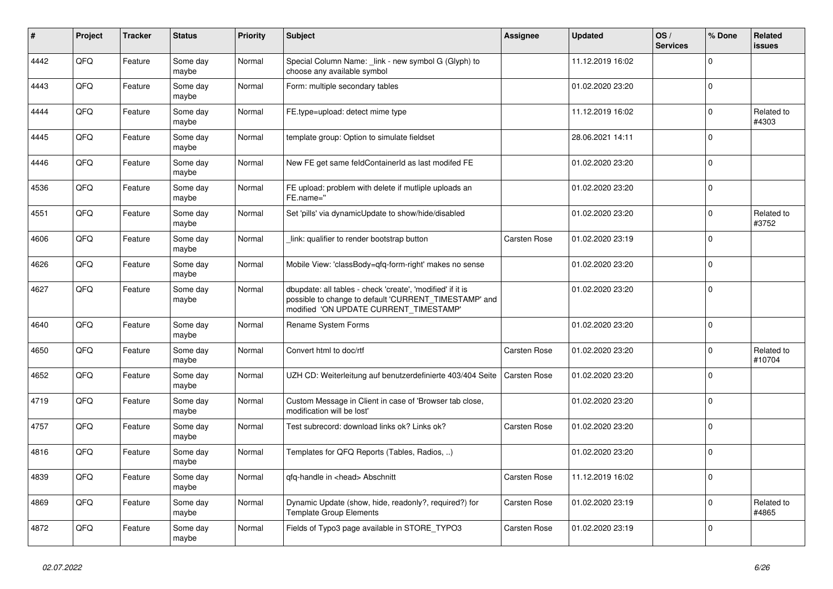| $\pmb{\#}$ | <b>Project</b> | <b>Tracker</b> | <b>Status</b>     | <b>Priority</b> | <b>Subject</b>                                                                                                                                                | Assignee     | <b>Updated</b>   | OS/<br><b>Services</b> | % Done      | Related<br><b>issues</b> |
|------------|----------------|----------------|-------------------|-----------------|---------------------------------------------------------------------------------------------------------------------------------------------------------------|--------------|------------------|------------------------|-------------|--------------------------|
| 4442       | QFQ            | Feature        | Some day<br>maybe | Normal          | Special Column Name: _link - new symbol G (Glyph) to<br>choose any available symbol                                                                           |              | 11.12.2019 16:02 |                        | $\Omega$    |                          |
| 4443       | QFQ            | Feature        | Some day<br>maybe | Normal          | Form: multiple secondary tables                                                                                                                               |              | 01.02.2020 23:20 |                        | $\mathbf 0$ |                          |
| 4444       | QFQ            | Feature        | Some day<br>maybe | Normal          | FE.type=upload: detect mime type                                                                                                                              |              | 11.12.2019 16:02 |                        | $\Omega$    | Related to<br>#4303      |
| 4445       | QFQ            | Feature        | Some day<br>maybe | Normal          | template group: Option to simulate fieldset                                                                                                                   |              | 28.06.2021 14:11 |                        | $\Omega$    |                          |
| 4446       | QFQ            | Feature        | Some day<br>maybe | Normal          | New FE get same feldContainerId as last modifed FE                                                                                                            |              | 01.02.2020 23:20 |                        | $\mathbf 0$ |                          |
| 4536       | QFQ            | Feature        | Some day<br>maybe | Normal          | FE upload: problem with delete if mutliple uploads an<br>FE.name="                                                                                            |              | 01.02.2020 23:20 |                        | $\Omega$    |                          |
| 4551       | QFQ            | Feature        | Some day<br>maybe | Normal          | Set 'pills' via dynamicUpdate to show/hide/disabled                                                                                                           |              | 01.02.2020 23:20 |                        | $\Omega$    | Related to<br>#3752      |
| 4606       | QFQ            | Feature        | Some day<br>maybe | Normal          | link: qualifier to render bootstrap button                                                                                                                    | Carsten Rose | 01.02.2020 23:19 |                        | $\Omega$    |                          |
| 4626       | QFQ            | Feature        | Some day<br>maybe | Normal          | Mobile View: 'classBody=qfq-form-right' makes no sense                                                                                                        |              | 01.02.2020 23:20 |                        | $\Omega$    |                          |
| 4627       | QFQ            | Feature        | Some day<br>maybe | Normal          | dbupdate: all tables - check 'create', 'modified' if it is<br>possible to change to default 'CURRENT_TIMESTAMP' and<br>modified 'ON UPDATE CURRENT_TIMESTAMP' |              | 01.02.2020 23:20 |                        | $\Omega$    |                          |
| 4640       | QFQ            | Feature        | Some day<br>maybe | Normal          | Rename System Forms                                                                                                                                           |              | 01.02.2020 23:20 |                        | $\Omega$    |                          |
| 4650       | QFQ            | Feature        | Some day<br>maybe | Normal          | Convert html to doc/rtf                                                                                                                                       | Carsten Rose | 01.02.2020 23:20 |                        | $\Omega$    | Related to<br>#10704     |
| 4652       | QFQ            | Feature        | Some day<br>maybe | Normal          | UZH CD: Weiterleitung auf benutzerdefinierte 403/404 Seite                                                                                                    | Carsten Rose | 01.02.2020 23:20 |                        | $\Omega$    |                          |
| 4719       | QFQ            | Feature        | Some day<br>maybe | Normal          | Custom Message in Client in case of 'Browser tab close,<br>modification will be lost'                                                                         |              | 01.02.2020 23:20 |                        | $\Omega$    |                          |
| 4757       | QFQ            | Feature        | Some day<br>maybe | Normal          | Test subrecord: download links ok? Links ok?                                                                                                                  | Carsten Rose | 01.02.2020 23:20 |                        | $\Omega$    |                          |
| 4816       | QFQ            | Feature        | Some day<br>maybe | Normal          | Templates for QFQ Reports (Tables, Radios, )                                                                                                                  |              | 01.02.2020 23:20 |                        | $\Omega$    |                          |
| 4839       | QFQ            | Feature        | Some day<br>maybe | Normal          | gfg-handle in <head> Abschnitt</head>                                                                                                                         | Carsten Rose | 11.12.2019 16:02 |                        | $\Omega$    |                          |
| 4869       | QFQ            | Feature        | Some day<br>maybe | Normal          | Dynamic Update (show, hide, readonly?, required?) for<br><b>Template Group Elements</b>                                                                       | Carsten Rose | 01.02.2020 23:19 |                        | $\Omega$    | Related to<br>#4865      |
| 4872       | QFQ            | Feature        | Some day<br>maybe | Normal          | Fields of Typo3 page available in STORE_TYPO3                                                                                                                 | Carsten Rose | 01.02.2020 23:19 |                        | $\Omega$    |                          |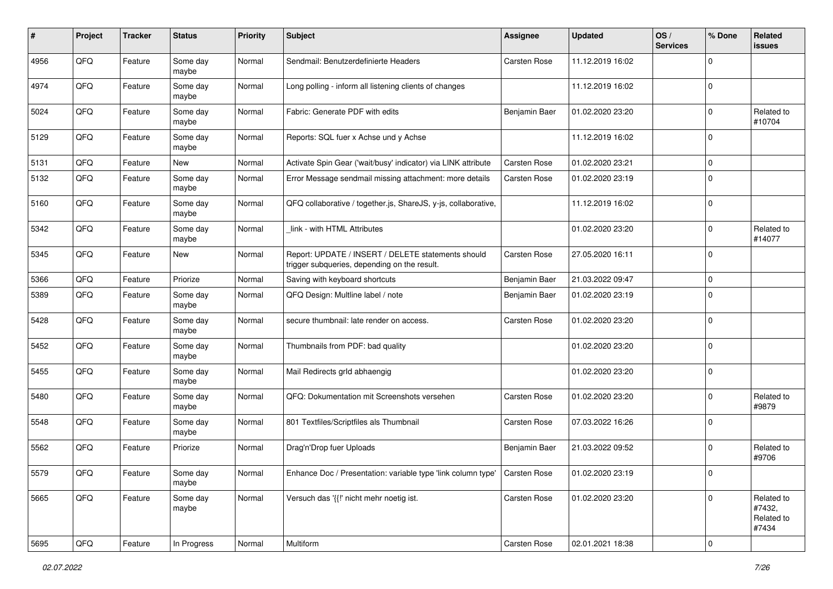| #    | Project        | <b>Tracker</b> | <b>Status</b>     | <b>Priority</b> | Subject                                                                                            | <b>Assignee</b> | <b>Updated</b>   | OS/<br><b>Services</b> | % Done      | Related<br>issues                           |
|------|----------------|----------------|-------------------|-----------------|----------------------------------------------------------------------------------------------------|-----------------|------------------|------------------------|-------------|---------------------------------------------|
| 4956 | QFQ            | Feature        | Some day<br>maybe | Normal          | Sendmail: Benutzerdefinierte Headers                                                               | Carsten Rose    | 11.12.2019 16:02 |                        | $\Omega$    |                                             |
| 4974 | QFQ            | Feature        | Some day<br>maybe | Normal          | Long polling - inform all listening clients of changes                                             |                 | 11.12.2019 16:02 |                        | $\Omega$    |                                             |
| 5024 | QFQ            | Feature        | Some day<br>maybe | Normal          | Fabric: Generate PDF with edits                                                                    | Benjamin Baer   | 01.02.2020 23:20 |                        | $\Omega$    | Related to<br>#10704                        |
| 5129 | QFQ            | Feature        | Some day<br>maybe | Normal          | Reports: SQL fuer x Achse und y Achse                                                              |                 | 11.12.2019 16:02 |                        | $\Omega$    |                                             |
| 5131 | QFQ            | Feature        | New               | Normal          | Activate Spin Gear ('wait/busy' indicator) via LINK attribute                                      | Carsten Rose    | 01.02.2020 23:21 |                        | $\mathbf 0$ |                                             |
| 5132 | QFQ            | Feature        | Some day<br>maybe | Normal          | Error Message sendmail missing attachment: more details                                            | Carsten Rose    | 01.02.2020 23:19 |                        | $\Omega$    |                                             |
| 5160 | QFQ            | Feature        | Some day<br>maybe | Normal          | QFQ collaborative / together.js, ShareJS, y-js, collaborative,                                     |                 | 11.12.2019 16:02 |                        | $\Omega$    |                                             |
| 5342 | QFQ            | Feature        | Some day<br>maybe | Normal          | link - with HTML Attributes                                                                        |                 | 01.02.2020 23:20 |                        | $\Omega$    | Related to<br>#14077                        |
| 5345 | QFQ            | Feature        | New               | Normal          | Report: UPDATE / INSERT / DELETE statements should<br>trigger subqueries, depending on the result. | Carsten Rose    | 27.05.2020 16:11 |                        | $\Omega$    |                                             |
| 5366 | QFQ            | Feature        | Priorize          | Normal          | Saving with keyboard shortcuts                                                                     | Benjamin Baer   | 21.03.2022 09:47 |                        | $\mathbf 0$ |                                             |
| 5389 | QFQ            | Feature        | Some day<br>maybe | Normal          | QFQ Design: Multline label / note                                                                  | Benjamin Baer   | 01.02.2020 23:19 |                        | $\Omega$    |                                             |
| 5428 | QFQ            | Feature        | Some day<br>maybe | Normal          | secure thumbnail: late render on access.                                                           | Carsten Rose    | 01.02.2020 23:20 |                        | $\mathbf 0$ |                                             |
| 5452 | QFQ            | Feature        | Some day<br>maybe | Normal          | Thumbnails from PDF: bad quality                                                                   |                 | 01.02.2020 23:20 |                        | $\Omega$    |                                             |
| 5455 | QFQ            | Feature        | Some day<br>maybe | Normal          | Mail Redirects grld abhaengig                                                                      |                 | 01.02.2020 23:20 |                        | $\Omega$    |                                             |
| 5480 | QFQ            | Feature        | Some day<br>maybe | Normal          | QFQ: Dokumentation mit Screenshots versehen                                                        | Carsten Rose    | 01.02.2020 23:20 |                        | $\Omega$    | Related to<br>#9879                         |
| 5548 | QFQ            | Feature        | Some day<br>maybe | Normal          | 801 Textfiles/Scriptfiles als Thumbnail                                                            | Carsten Rose    | 07.03.2022 16:26 |                        | $\Omega$    |                                             |
| 5562 | QFQ            | Feature        | Priorize          | Normal          | Drag'n'Drop fuer Uploads                                                                           | Benjamin Baer   | 21.03.2022 09:52 |                        | $\mathbf 0$ | Related to<br>#9706                         |
| 5579 | QFQ            | Feature        | Some day<br>maybe | Normal          | Enhance Doc / Presentation: variable type 'link column type'   Carsten Rose                        |                 | 01.02.2020 23:19 |                        | O           |                                             |
| 5665 | QFQ            | Feature        | Some day<br>maybe | Normal          | Versuch das '{{!' nicht mehr noetig ist.                                                           | Carsten Rose    | 01.02.2020 23:20 |                        | $\mathbf 0$ | Related to<br>#7432,<br>Related to<br>#7434 |
| 5695 | $\mathsf{QFQ}$ | Feature        | In Progress       | Normal          | Multiform                                                                                          | Carsten Rose    | 02.01.2021 18:38 |                        | $\pmb{0}$   |                                             |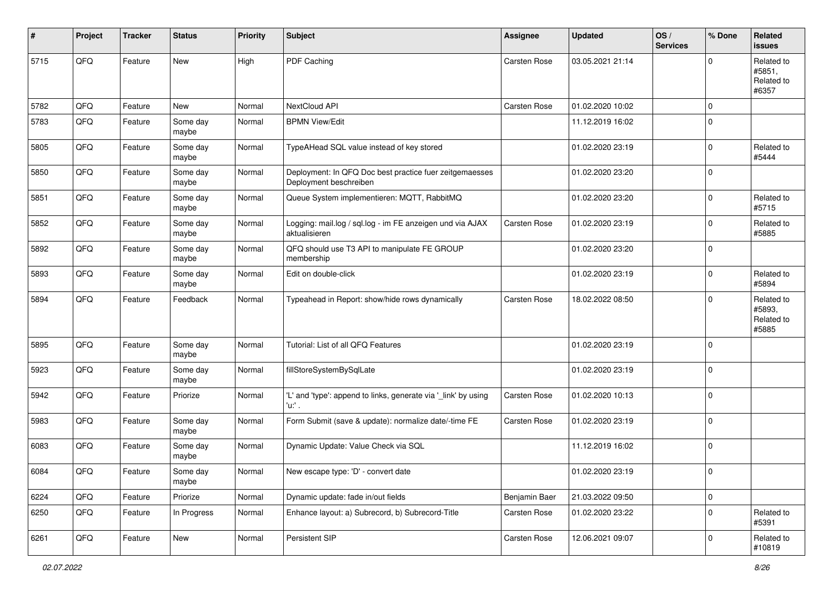| #    | Project | <b>Tracker</b> | <b>Status</b>     | <b>Priority</b> | <b>Subject</b>                                                                    | <b>Assignee</b>     | <b>Updated</b>   | OS/<br><b>Services</b> | % Done      | Related<br>issues                           |
|------|---------|----------------|-------------------|-----------------|-----------------------------------------------------------------------------------|---------------------|------------------|------------------------|-------------|---------------------------------------------|
| 5715 | QFQ     | Feature        | New               | High            | PDF Caching                                                                       | Carsten Rose        | 03.05.2021 21:14 |                        | $\mathbf 0$ | Related to<br>#5851,<br>Related to<br>#6357 |
| 5782 | QFQ     | Feature        | <b>New</b>        | Normal          | NextCloud API                                                                     | <b>Carsten Rose</b> | 01.02.2020 10:02 |                        | 0           |                                             |
| 5783 | QFQ     | Feature        | Some day<br>maybe | Normal          | <b>BPMN View/Edit</b>                                                             |                     | 11.12.2019 16:02 |                        | $\Omega$    |                                             |
| 5805 | QFQ     | Feature        | Some day<br>maybe | Normal          | TypeAHead SQL value instead of key stored                                         |                     | 01.02.2020 23:19 |                        | 0           | Related to<br>#5444                         |
| 5850 | QFQ     | Feature        | Some day<br>maybe | Normal          | Deployment: In QFQ Doc best practice fuer zeitgemaesses<br>Deployment beschreiben |                     | 01.02.2020 23:20 |                        | $\mathbf 0$ |                                             |
| 5851 | QFQ     | Feature        | Some day<br>maybe | Normal          | Queue System implementieren: MQTT, RabbitMQ                                       |                     | 01.02.2020 23:20 |                        | $\mathbf 0$ | Related to<br>#5715                         |
| 5852 | QFQ     | Feature        | Some day<br>maybe | Normal          | Logging: mail.log / sql.log - im FE anzeigen und via AJAX<br>aktualisieren        | Carsten Rose        | 01.02.2020 23:19 |                        | 0           | Related to<br>#5885                         |
| 5892 | QFQ     | Feature        | Some day<br>maybe | Normal          | QFQ should use T3 API to manipulate FE GROUP<br>membership                        |                     | 01.02.2020 23:20 |                        | $\Omega$    |                                             |
| 5893 | QFQ     | Feature        | Some day<br>maybe | Normal          | Edit on double-click                                                              |                     | 01.02.2020 23:19 |                        | 0           | Related to<br>#5894                         |
| 5894 | QFQ     | Feature        | Feedback          | Normal          | Typeahead in Report: show/hide rows dynamically                                   | <b>Carsten Rose</b> | 18.02.2022 08:50 |                        | $\Omega$    | Related to<br>#5893,<br>Related to<br>#5885 |
| 5895 | QFQ     | Feature        | Some day<br>maybe | Normal          | Tutorial: List of all QFQ Features                                                |                     | 01.02.2020 23:19 |                        | $\Omega$    |                                             |
| 5923 | QFQ     | Feature        | Some day<br>maybe | Normal          | fillStoreSystemBySqlLate                                                          |                     | 01.02.2020 23:19 |                        | $\Omega$    |                                             |
| 5942 | QFQ     | Feature        | Priorize          | Normal          | 'L' and 'type': append to links, generate via '_link' by using<br>$'u$ .          | Carsten Rose        | 01.02.2020 10:13 |                        | 0           |                                             |
| 5983 | QFQ     | Feature        | Some day<br>maybe | Normal          | Form Submit (save & update): normalize date/-time FE                              | Carsten Rose        | 01.02.2020 23:19 |                        | $\Omega$    |                                             |
| 6083 | QFQ     | Feature        | Some day<br>maybe | Normal          | Dynamic Update: Value Check via SQL                                               |                     | 11.12.2019 16:02 |                        | 0           |                                             |
| 6084 | QFQ     | Feature        | Some day<br>maybe | Normal          | New escape type: 'D' - convert date                                               |                     | 01.02.2020 23:19 |                        | $\pmb{0}$   |                                             |
| 6224 | QFQ     | Feature        | Priorize          | Normal          | Dynamic update: fade in/out fields                                                | Benjamin Baer       | 21.03.2022 09:50 |                        | 0           |                                             |
| 6250 | QFQ     | Feature        | In Progress       | Normal          | Enhance layout: a) Subrecord, b) Subrecord-Title                                  | Carsten Rose        | 01.02.2020 23:22 |                        | $\pmb{0}$   | Related to<br>#5391                         |
| 6261 | QFQ     | Feature        | New               | Normal          | Persistent SIP                                                                    | Carsten Rose        | 12.06.2021 09:07 |                        | $\pmb{0}$   | Related to<br>#10819                        |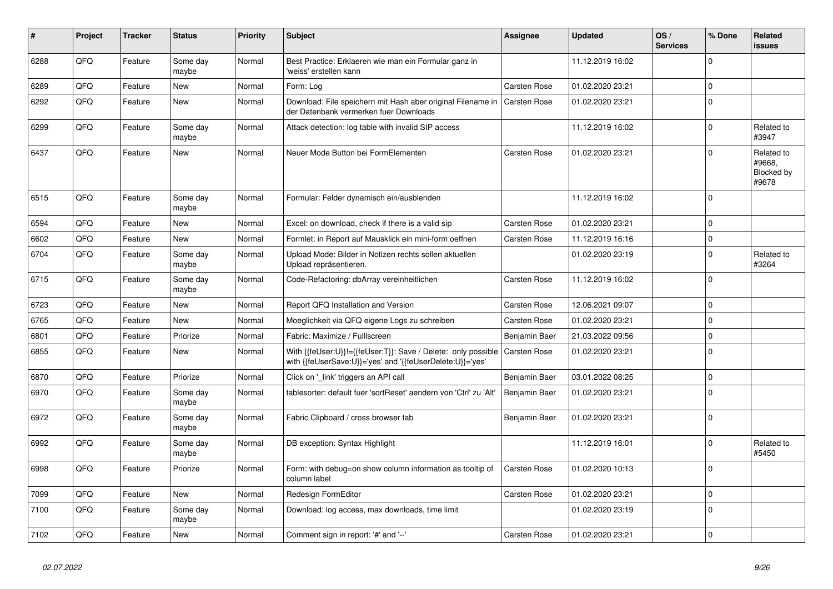| #    | Project | <b>Tracker</b> | <b>Status</b>     | <b>Priority</b> | <b>Subject</b>                                                                                                             | Assignee            | <b>Updated</b>   | OS/<br><b>Services</b> | % Done      | Related<br>issues                           |
|------|---------|----------------|-------------------|-----------------|----------------------------------------------------------------------------------------------------------------------------|---------------------|------------------|------------------------|-------------|---------------------------------------------|
| 6288 | QFQ     | Feature        | Some day<br>maybe | Normal          | Best Practice: Erklaeren wie man ein Formular ganz in<br>'weiss' erstellen kann                                            |                     | 11.12.2019 16:02 |                        | $\Omega$    |                                             |
| 6289 | QFQ     | Feature        | <b>New</b>        | Normal          | Form: Log                                                                                                                  | Carsten Rose        | 01.02.2020 23:21 |                        | $\mathbf 0$ |                                             |
| 6292 | QFQ     | Feature        | <b>New</b>        | Normal          | Download: File speichern mit Hash aber original Filename in<br>der Datenbank vermerken fuer Downloads                      | <b>Carsten Rose</b> | 01.02.2020 23:21 |                        | $\mathbf 0$ |                                             |
| 6299 | QFQ     | Feature        | Some day<br>maybe | Normal          | Attack detection: log table with invalid SIP access                                                                        |                     | 11.12.2019 16:02 |                        | $\mathbf 0$ | Related to<br>#3947                         |
| 6437 | QFQ     | Feature        | New               | Normal          | Neuer Mode Button bei FormElementen                                                                                        | Carsten Rose        | 01.02.2020 23:21 |                        | $\Omega$    | Related to<br>#9668.<br>Blocked by<br>#9678 |
| 6515 | QFQ     | Feature        | Some day<br>maybe | Normal          | Formular: Felder dynamisch ein/ausblenden                                                                                  |                     | 11.12.2019 16:02 |                        | $\Omega$    |                                             |
| 6594 | QFQ     | Feature        | New               | Normal          | Excel: on download, check if there is a valid sip                                                                          | Carsten Rose        | 01.02.2020 23:21 |                        | $\mathbf 0$ |                                             |
| 6602 | QFQ     | Feature        | New               | Normal          | Formlet: in Report auf Mausklick ein mini-form oeffnen                                                                     | Carsten Rose        | 11.12.2019 16:16 |                        | $\pmb{0}$   |                                             |
| 6704 | QFQ     | Feature        | Some day<br>maybe | Normal          | Upload Mode: Bilder in Notizen rechts sollen aktuellen<br>Upload repräsentieren.                                           |                     | 01.02.2020 23:19 |                        | $\Omega$    | Related to<br>#3264                         |
| 6715 | QFQ     | Feature        | Some day<br>maybe | Normal          | Code-Refactoring: dbArray vereinheitlichen                                                                                 | Carsten Rose        | 11.12.2019 16:02 |                        | $\Omega$    |                                             |
| 6723 | QFQ     | Feature        | New               | Normal          | Report QFQ Installation and Version                                                                                        | Carsten Rose        | 12.06.2021 09:07 |                        | $\mathbf 0$ |                                             |
| 6765 | QFQ     | Feature        | <b>New</b>        | Normal          | Moeglichkeit via QFQ eigene Logs zu schreiben                                                                              | Carsten Rose        | 01.02.2020 23:21 |                        | $\mathbf 0$ |                                             |
| 6801 | QFQ     | Feature        | Priorize          | Normal          | Fabric: Maximize / FullIscreen                                                                                             | Benjamin Baer       | 21.03.2022 09:56 |                        | $\mathbf 0$ |                                             |
| 6855 | QFQ     | Feature        | New               | Normal          | With {{feUser:U}}!={{feUser:T}}: Save / Delete: only possible<br>with {{feUserSave:U}}='yes' and '{{feUserDelete:U}}='yes' | Carsten Rose        | 01.02.2020 23:21 |                        | $\Omega$    |                                             |
| 6870 | QFQ     | Feature        | Priorize          | Normal          | Click on '_link' triggers an API call                                                                                      | Benjamin Baer       | 03.01.2022 08:25 |                        | $\mathbf 0$ |                                             |
| 6970 | QFQ     | Feature        | Some day<br>maybe | Normal          | tablesorter: default fuer 'sortReset' aendern von 'Ctrl' zu 'Alt'                                                          | Benjamin Baer       | 01.02.2020 23:21 |                        | $\mathbf 0$ |                                             |
| 6972 | QFQ     | Feature        | Some day<br>maybe | Normal          | Fabric Clipboard / cross browser tab                                                                                       | Benjamin Baer       | 01.02.2020 23:21 |                        | $\Omega$    |                                             |
| 6992 | QFQ     | Feature        | Some day<br>maybe | Normal          | DB exception: Syntax Highlight                                                                                             |                     | 11.12.2019 16:01 |                        | $\mathbf 0$ | Related to<br>#5450                         |
| 6998 | QFQ     | Feature        | Priorize          | Normal          | Form: with debug=on show column information as tooltip of<br>column label                                                  | Carsten Rose        | 01.02.2020 10:13 |                        | $\Omega$    |                                             |
| 7099 | QFQ     | Feature        | New               | Normal          | Redesign FormEditor                                                                                                        | <b>Carsten Rose</b> | 01.02.2020 23:21 |                        | $\Omega$    |                                             |
| 7100 | QFQ     | Feature        | Some day<br>maybe | Normal          | Download: log access, max downloads, time limit                                                                            |                     | 01.02.2020 23:19 |                        | $\Omega$    |                                             |
| 7102 | QFQ     | Feature        | New               | Normal          | Comment sign in report: '#' and '--'                                                                                       | Carsten Rose        | 01.02.2020 23:21 |                        | $\mathbf 0$ |                                             |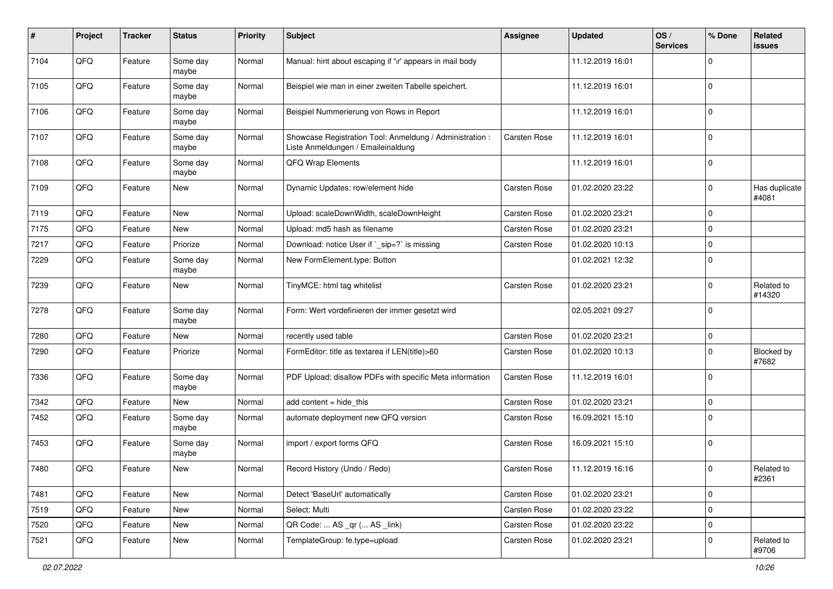| $\pmb{\#}$ | Project        | <b>Tracker</b> | <b>Status</b>     | <b>Priority</b> | <b>Subject</b>                                                                                 | <b>Assignee</b>     | <b>Updated</b>   | OS/<br><b>Services</b> | % Done      | Related<br>issues      |
|------------|----------------|----------------|-------------------|-----------------|------------------------------------------------------------------------------------------------|---------------------|------------------|------------------------|-------------|------------------------|
| 7104       | QFQ            | Feature        | Some day<br>maybe | Normal          | Manual: hint about escaping if '\r' appears in mail body                                       |                     | 11.12.2019 16:01 |                        | $\Omega$    |                        |
| 7105       | QFQ            | Feature        | Some day<br>maybe | Normal          | Beispiel wie man in einer zweiten Tabelle speichert.                                           |                     | 11.12.2019 16:01 |                        | $\Omega$    |                        |
| 7106       | QFQ            | Feature        | Some day<br>maybe | Normal          | Beispiel Nummerierung von Rows in Report                                                       |                     | 11.12.2019 16:01 |                        | $\Omega$    |                        |
| 7107       | QFQ            | Feature        | Some day<br>maybe | Normal          | Showcase Registration Tool: Anmeldung / Administration :<br>Liste Anmeldungen / Emaileinaldung | Carsten Rose        | 11.12.2019 16:01 |                        | $\Omega$    |                        |
| 7108       | QFQ            | Feature        | Some day<br>maybe | Normal          | <b>QFQ Wrap Elements</b>                                                                       |                     | 11.12.2019 16:01 |                        | $\Omega$    |                        |
| 7109       | QFQ            | Feature        | New               | Normal          | Dynamic Updates: row/element hide                                                              | Carsten Rose        | 01.02.2020 23:22 |                        | $\Omega$    | Has duplicate<br>#4081 |
| 7119       | QFQ            | Feature        | New               | Normal          | Upload: scaleDownWidth, scaleDownHeight                                                        | <b>Carsten Rose</b> | 01.02.2020 23:21 |                        | $\mathbf 0$ |                        |
| 7175       | QFQ            | Feature        | New               | Normal          | Upload: md5 hash as filename                                                                   | Carsten Rose        | 01.02.2020 23:21 |                        | $\Omega$    |                        |
| 7217       | QFQ            | Feature        | Priorize          | Normal          | Download: notice User if `_sip=?` is missing                                                   | Carsten Rose        | 01.02.2020 10:13 |                        | $\Omega$    |                        |
| 7229       | QFQ            | Feature        | Some day<br>maybe | Normal          | New FormElement.type: Button                                                                   |                     | 01.02.2021 12:32 |                        | $\Omega$    |                        |
| 7239       | QFQ            | Feature        | New               | Normal          | TinyMCE: html tag whitelist                                                                    | <b>Carsten Rose</b> | 01.02.2020 23:21 |                        | $\Omega$    | Related to<br>#14320   |
| 7278       | QFQ            | Feature        | Some day<br>maybe | Normal          | Form: Wert vordefinieren der immer gesetzt wird                                                |                     | 02.05.2021 09:27 |                        | $\mathbf 0$ |                        |
| 7280       | QFQ            | Feature        | New               | Normal          | recently used table                                                                            | <b>Carsten Rose</b> | 01.02.2020 23:21 |                        | 0           |                        |
| 7290       | QFQ            | Feature        | Priorize          | Normal          | FormEditor: title as textarea if LEN(title)>60                                                 | Carsten Rose        | 01.02.2020 10:13 |                        | $\Omega$    | Blocked by<br>#7682    |
| 7336       | QFQ            | Feature        | Some day<br>maybe | Normal          | PDF Upload: disallow PDFs with specific Meta information                                       | Carsten Rose        | 11.12.2019 16:01 |                        | $\mathbf 0$ |                        |
| 7342       | QFQ            | Feature        | New               | Normal          | add content $=$ hide this                                                                      | Carsten Rose        | 01.02.2020 23:21 |                        | $\Omega$    |                        |
| 7452       | QFQ            | Feature        | Some day<br>maybe | Normal          | automate deployment new QFQ version                                                            | Carsten Rose        | 16.09.2021 15:10 |                        | $\Omega$    |                        |
| 7453       | QFQ            | Feature        | Some day<br>maybe | Normal          | import / export forms QFQ                                                                      | Carsten Rose        | 16.09.2021 15:10 |                        | $\mathbf 0$ |                        |
| 7480       | $\mathsf{QFQ}$ | Feature        | New               | Normal          | Record History (Undo / Redo)                                                                   | Carsten Rose        | 11.12.2019 16:16 |                        | 0           | Related to<br>#2361    |
| 7481       | QFQ            | Feature        | New               | Normal          | Detect 'BaseUrl' automatically                                                                 | Carsten Rose        | 01.02.2020 23:21 |                        | $\mathbf 0$ |                        |
| 7519       | QFQ            | Feature        | New               | Normal          | Select: Multi                                                                                  | Carsten Rose        | 01.02.2020 23:22 |                        | $\mathbf 0$ |                        |
| 7520       | QFQ            | Feature        | New               | Normal          | QR Code:  AS _qr ( AS _link)                                                                   | Carsten Rose        | 01.02.2020 23:22 |                        | 0           |                        |
| 7521       | QFQ            | Feature        | New               | Normal          | TemplateGroup: fe.type=upload                                                                  | Carsten Rose        | 01.02.2020 23:21 |                        | 0           | Related to<br>#9706    |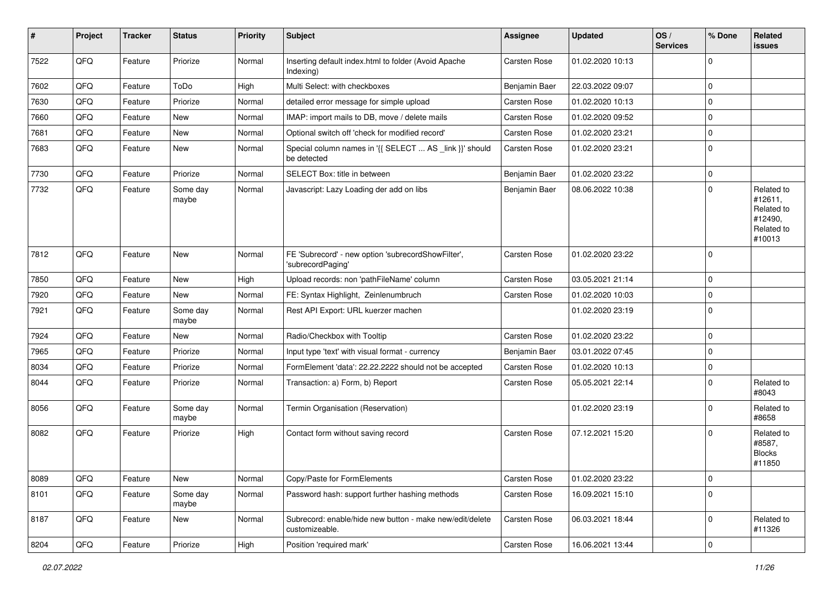| #    | Project | <b>Tracker</b> | <b>Status</b>     | <b>Priority</b> | Subject                                                                    | <b>Assignee</b> | <b>Updated</b>   | OS/<br><b>Services</b> | % Done      | Related<br>issues                                                      |
|------|---------|----------------|-------------------|-----------------|----------------------------------------------------------------------------|-----------------|------------------|------------------------|-------------|------------------------------------------------------------------------|
| 7522 | QFQ     | Feature        | Priorize          | Normal          | Inserting default index.html to folder (Avoid Apache<br>Indexing)          | Carsten Rose    | 01.02.2020 10:13 |                        | $\Omega$    |                                                                        |
| 7602 | QFQ     | Feature        | ToDo              | High            | Multi Select: with checkboxes                                              | Benjamin Baer   | 22.03.2022 09:07 |                        | 0           |                                                                        |
| 7630 | QFQ     | Feature        | Priorize          | Normal          | detailed error message for simple upload                                   | Carsten Rose    | 01.02.2020 10:13 |                        | $\mathbf 0$ |                                                                        |
| 7660 | QFQ     | Feature        | New               | Normal          | IMAP: import mails to DB, move / delete mails                              | Carsten Rose    | 01.02.2020 09:52 |                        | 0           |                                                                        |
| 7681 | QFQ     | Feature        | New               | Normal          | Optional switch off 'check for modified record'                            | Carsten Rose    | 01.02.2020 23:21 |                        | $\mathbf 0$ |                                                                        |
| 7683 | QFQ     | Feature        | New               | Normal          | Special column names in '{{ SELECT  AS _link }}' should<br>be detected     | Carsten Rose    | 01.02.2020 23:21 |                        | 0           |                                                                        |
| 7730 | QFQ     | Feature        | Priorize          | Normal          | SELECT Box: title in between                                               | Benjamin Baer   | 01.02.2020 23:22 |                        | $\mathbf 0$ |                                                                        |
| 7732 | QFQ     | Feature        | Some day<br>maybe | Normal          | Javascript: Lazy Loading der add on libs                                   | Benjamin Baer   | 08.06.2022 10:38 |                        | $\Omega$    | Related to<br>#12611,<br>Related to<br>#12490,<br>Related to<br>#10013 |
| 7812 | QFQ     | Feature        | New               | Normal          | FE 'Subrecord' - new option 'subrecordShowFilter',<br>'subrecordPaging'    | Carsten Rose    | 01.02.2020 23:22 |                        | $\Omega$    |                                                                        |
| 7850 | QFQ     | Feature        | <b>New</b>        | High            | Upload records: non 'pathFileName' column                                  | Carsten Rose    | 03.05.2021 21:14 |                        | $\mathbf 0$ |                                                                        |
| 7920 | QFQ     | Feature        | New               | Normal          | FE: Syntax Highlight, Zeinlenumbruch                                       | Carsten Rose    | 01.02.2020 10:03 |                        | $\Omega$    |                                                                        |
| 7921 | QFQ     | Feature        | Some day<br>maybe | Normal          | Rest API Export: URL kuerzer machen                                        |                 | 01.02.2020 23:19 |                        | $\mathbf 0$ |                                                                        |
| 7924 | QFQ     | Feature        | New               | Normal          | Radio/Checkbox with Tooltip                                                | Carsten Rose    | 01.02.2020 23:22 |                        | $\mathbf 0$ |                                                                        |
| 7965 | QFQ     | Feature        | Priorize          | Normal          | Input type 'text' with visual format - currency                            | Benjamin Baer   | 03.01.2022 07:45 |                        | $\mathbf 0$ |                                                                        |
| 8034 | QFQ     | Feature        | Priorize          | Normal          | FormElement 'data': 22.22.2222 should not be accepted                      | Carsten Rose    | 01.02.2020 10:13 |                        | $\mathbf 0$ |                                                                        |
| 8044 | QFQ     | Feature        | Priorize          | Normal          | Transaction: a) Form, b) Report                                            | Carsten Rose    | 05.05.2021 22:14 |                        | $\mathbf 0$ | Related to<br>#8043                                                    |
| 8056 | QFQ     | Feature        | Some day<br>maybe | Normal          | Termin Organisation (Reservation)                                          |                 | 01.02.2020 23:19 |                        | $\Omega$    | Related to<br>#8658                                                    |
| 8082 | QFQ     | Feature        | Priorize          | High            | Contact form without saving record                                         | Carsten Rose    | 07.12.2021 15:20 |                        | $\Omega$    | Related to<br>#8587,<br><b>Blocks</b><br>#11850                        |
| 8089 | QFQ     | Feature        | New               | Normal          | Copy/Paste for FormElements                                                | Carsten Rose    | 01.02.2020 23:22 |                        | $\pmb{0}$   |                                                                        |
| 8101 | QFQ     | Feature        | Some day<br>maybe | Normal          | Password hash: support further hashing methods                             | Carsten Rose    | 16.09.2021 15:10 |                        | $\Omega$    |                                                                        |
| 8187 | QFQ     | Feature        | New               | Normal          | Subrecord: enable/hide new button - make new/edit/delete<br>customizeable. | Carsten Rose    | 06.03.2021 18:44 |                        | $\mathbf 0$ | Related to<br>#11326                                                   |
| 8204 | QFQ     | Feature        | Priorize          | High            | Position 'required mark'                                                   | Carsten Rose    | 16.06.2021 13:44 |                        | $\pmb{0}$   |                                                                        |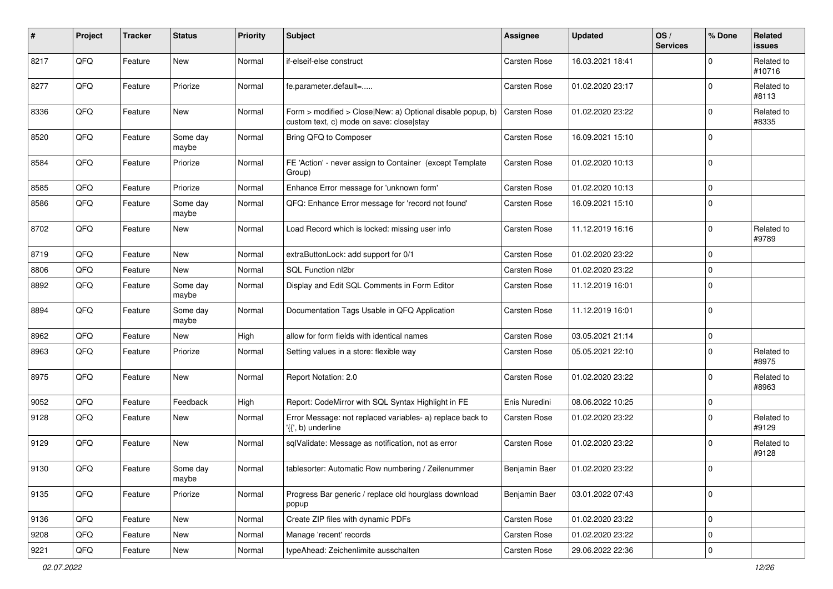| #    | Project | <b>Tracker</b> | <b>Status</b>     | <b>Priority</b> | Subject                                                                                                | <b>Assignee</b>     | <b>Updated</b>   | OS/<br><b>Services</b> | % Done      | Related<br><b>issues</b> |
|------|---------|----------------|-------------------|-----------------|--------------------------------------------------------------------------------------------------------|---------------------|------------------|------------------------|-------------|--------------------------|
| 8217 | QFQ     | Feature        | <b>New</b>        | Normal          | if-elseif-else construct                                                                               | Carsten Rose        | 16.03.2021 18:41 |                        | $\Omega$    | Related to<br>#10716     |
| 8277 | QFQ     | Feature        | Priorize          | Normal          | fe.parameter.default=                                                                                  | Carsten Rose        | 01.02.2020 23:17 |                        | $\Omega$    | Related to<br>#8113      |
| 8336 | QFQ     | Feature        | New               | Normal          | Form > modified > Close New: a) Optional disable popup, b)<br>custom text, c) mode on save: close stay | <b>Carsten Rose</b> | 01.02.2020 23:22 |                        | $\Omega$    | Related to<br>#8335      |
| 8520 | QFQ     | Feature        | Some day<br>maybe | Normal          | Bring QFQ to Composer                                                                                  | Carsten Rose        | 16.09.2021 15:10 |                        | $\Omega$    |                          |
| 8584 | QFQ     | Feature        | Priorize          | Normal          | FE 'Action' - never assign to Container (except Template<br>Group)                                     | Carsten Rose        | 01.02.2020 10:13 |                        | $\Omega$    |                          |
| 8585 | QFQ     | Feature        | Priorize          | Normal          | Enhance Error message for 'unknown form'                                                               | Carsten Rose        | 01.02.2020 10:13 |                        | $\mathbf 0$ |                          |
| 8586 | QFQ     | Feature        | Some day<br>maybe | Normal          | QFQ: Enhance Error message for 'record not found'                                                      | Carsten Rose        | 16.09.2021 15:10 |                        | $\Omega$    |                          |
| 8702 | QFQ     | Feature        | New               | Normal          | Load Record which is locked: missing user info                                                         | Carsten Rose        | 11.12.2019 16:16 |                        | $\mathbf 0$ | Related to<br>#9789      |
| 8719 | QFQ     | Feature        | New               | Normal          | extraButtonLock: add support for 0/1                                                                   | Carsten Rose        | 01.02.2020 23:22 |                        | $\Omega$    |                          |
| 8806 | QFQ     | Feature        | <b>New</b>        | Normal          | SQL Function nl2br                                                                                     | Carsten Rose        | 01.02.2020 23:22 |                        | $\Omega$    |                          |
| 8892 | QFQ     | Feature        | Some day<br>maybe | Normal          | Display and Edit SQL Comments in Form Editor                                                           | Carsten Rose        | 11.12.2019 16:01 |                        | $\Omega$    |                          |
| 8894 | QFQ     | Feature        | Some day<br>maybe | Normal          | Documentation Tags Usable in QFQ Application                                                           | Carsten Rose        | 11.12.2019 16:01 |                        | $\Omega$    |                          |
| 8962 | QFQ     | Feature        | New               | High            | allow for form fields with identical names                                                             | Carsten Rose        | 03.05.2021 21:14 |                        | 0           |                          |
| 8963 | QFQ     | Feature        | Priorize          | Normal          | Setting values in a store: flexible way                                                                | Carsten Rose        | 05.05.2021 22:10 |                        | $\Omega$    | Related to<br>#8975      |
| 8975 | QFQ     | Feature        | New               | Normal          | Report Notation: 2.0                                                                                   | Carsten Rose        | 01.02.2020 23:22 |                        | $\Omega$    | Related to<br>#8963      |
| 9052 | QFQ     | Feature        | Feedback          | High            | Report: CodeMirror with SQL Syntax Highlight in FE                                                     | Enis Nuredini       | 08.06.2022 10:25 |                        | $\Omega$    |                          |
| 9128 | QFQ     | Feature        | <b>New</b>        | Normal          | Error Message: not replaced variables- a) replace back to<br>'{{', b) underline                        | Carsten Rose        | 01.02.2020 23:22 |                        | $\Omega$    | Related to<br>#9129      |
| 9129 | QFQ     | Feature        | New               | Normal          | sqlValidate: Message as notification, not as error                                                     | Carsten Rose        | 01.02.2020 23:22 |                        | $\Omega$    | Related to<br>#9128      |
| 9130 | QFQ     | Feature        | Some day<br>maybe | Normal          | tablesorter: Automatic Row numbering / Zeilenummer                                                     | Benjamin Baer       | 01.02.2020 23:22 |                        | $\mathbf 0$ |                          |
| 9135 | QFQ     | Feature        | Priorize          | Normal          | Progress Bar generic / replace old hourglass download<br>popup                                         | Benjamin Baer       | 03.01.2022 07:43 |                        | $\Omega$    |                          |
| 9136 | QFQ     | Feature        | New               | Normal          | Create ZIP files with dynamic PDFs                                                                     | Carsten Rose        | 01.02.2020 23:22 |                        | 0           |                          |
| 9208 | QFQ     | Feature        | New               | Normal          | Manage 'recent' records                                                                                | Carsten Rose        | 01.02.2020 23:22 |                        | 0           |                          |
| 9221 | QFG     | Feature        | New               | Normal          | typeAhead: Zeichenlimite ausschalten                                                                   | Carsten Rose        | 29.06.2022 22:36 |                        | $\pmb{0}$   |                          |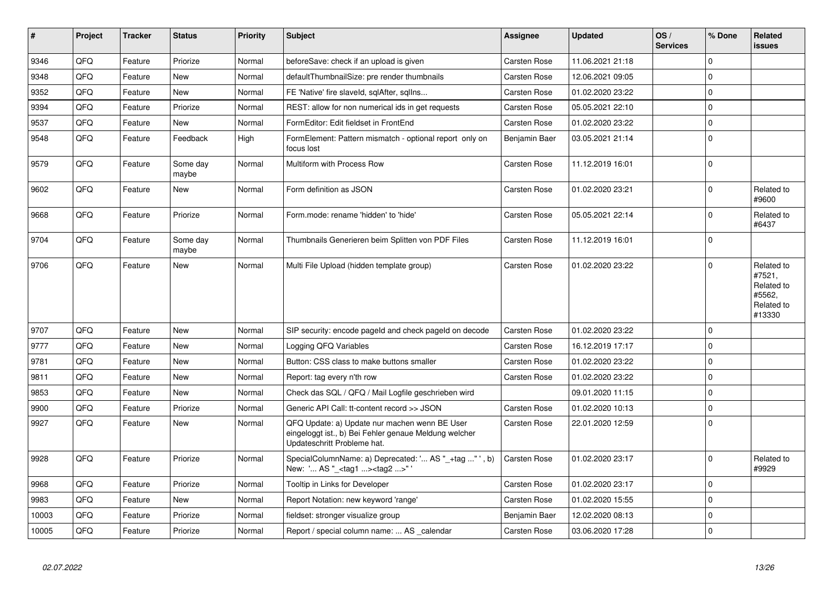| #     | Project | <b>Tracker</b> | <b>Status</b>     | <b>Priority</b> | <b>Subject</b>                                                                                                                        | <b>Assignee</b>     | <b>Updated</b>   | OS/<br><b>Services</b> | % Done      | Related<br>issues                                                    |
|-------|---------|----------------|-------------------|-----------------|---------------------------------------------------------------------------------------------------------------------------------------|---------------------|------------------|------------------------|-------------|----------------------------------------------------------------------|
| 9346  | QFQ     | Feature        | Priorize          | Normal          | beforeSave: check if an upload is given                                                                                               | Carsten Rose        | 11.06.2021 21:18 |                        | $\Omega$    |                                                                      |
| 9348  | QFQ     | Feature        | New               | Normal          | defaultThumbnailSize: pre render thumbnails                                                                                           | Carsten Rose        | 12.06.2021 09:05 |                        | $\Omega$    |                                                                      |
| 9352  | QFQ     | Feature        | <b>New</b>        | Normal          | FE 'Native' fire slaveld, sqlAfter, sqlIns                                                                                            | <b>Carsten Rose</b> | 01.02.2020 23:22 |                        | $\mathbf 0$ |                                                                      |
| 9394  | QFQ     | Feature        | Priorize          | Normal          | REST: allow for non numerical ids in get requests                                                                                     | <b>Carsten Rose</b> | 05.05.2021 22:10 |                        | $\Omega$    |                                                                      |
| 9537  | QFQ     | Feature        | New               | Normal          | FormEditor: Edit fieldset in FrontEnd                                                                                                 | <b>Carsten Rose</b> | 01.02.2020 23:22 |                        | $\mathbf 0$ |                                                                      |
| 9548  | QFQ     | Feature        | Feedback          | High            | FormElement: Pattern mismatch - optional report only on<br>focus lost                                                                 | Benjamin Baer       | 03.05.2021 21:14 |                        | $\Omega$    |                                                                      |
| 9579  | QFQ     | Feature        | Some day<br>maybe | Normal          | Multiform with Process Row                                                                                                            | Carsten Rose        | 11.12.2019 16:01 |                        | $\Omega$    |                                                                      |
| 9602  | QFQ     | Feature        | <b>New</b>        | Normal          | Form definition as JSON                                                                                                               | Carsten Rose        | 01.02.2020 23:21 |                        | $\Omega$    | Related to<br>#9600                                                  |
| 9668  | QFQ     | Feature        | Priorize          | Normal          | Form.mode: rename 'hidden' to 'hide'                                                                                                  | Carsten Rose        | 05.05.2021 22:14 |                        | $\Omega$    | Related to<br>#6437                                                  |
| 9704  | QFQ     | Feature        | Some day<br>maybe | Normal          | Thumbnails Generieren beim Splitten von PDF Files                                                                                     | Carsten Rose        | 11.12.2019 16:01 |                        | $\Omega$    |                                                                      |
| 9706  | QFQ     | Feature        | New               | Normal          | Multi File Upload (hidden template group)                                                                                             | Carsten Rose        | 01.02.2020 23:22 |                        | $\Omega$    | Related to<br>#7521,<br>Related to<br>#5562.<br>Related to<br>#13330 |
| 9707  | QFQ     | Feature        | <b>New</b>        | Normal          | SIP security: encode pageld and check pageld on decode                                                                                | <b>Carsten Rose</b> | 01.02.2020 23:22 |                        | $\mathbf 0$ |                                                                      |
| 9777  | QFQ     | Feature        | <b>New</b>        | Normal          | Logging QFQ Variables                                                                                                                 | <b>Carsten Rose</b> | 16.12.2019 17:17 |                        | $\Omega$    |                                                                      |
| 9781  | QFQ     | Feature        | <b>New</b>        | Normal          | Button: CSS class to make buttons smaller                                                                                             | Carsten Rose        | 01.02.2020 23:22 |                        | $\mathbf 0$ |                                                                      |
| 9811  | QFQ     | Feature        | New               | Normal          | Report: tag every n'th row                                                                                                            | Carsten Rose        | 01.02.2020 23:22 |                        | $\mathbf 0$ |                                                                      |
| 9853  | QFQ     | Feature        | New               | Normal          | Check das SQL / QFQ / Mail Logfile geschrieben wird                                                                                   |                     | 09.01.2020 11:15 |                        | $\mathbf 0$ |                                                                      |
| 9900  | QFQ     | Feature        | Priorize          | Normal          | Generic API Call: tt-content record >> JSON                                                                                           | <b>Carsten Rose</b> | 01.02.2020 10:13 |                        | $\mathbf 0$ |                                                                      |
| 9927  | QFQ     | Feature        | New               | Normal          | QFQ Update: a) Update nur machen wenn BE User<br>eingeloggt ist., b) Bei Fehler genaue Meldung welcher<br>Updateschritt Probleme hat. | Carsten Rose        | 22.01.2020 12:59 |                        | $\mathbf 0$ |                                                                      |
| 9928  | QFQ     | Feature        | Priorize          | Normal          | SpecialColumnName: a) Deprecated: ' AS "_+tag " ', b)<br>New: ' AS "_ <tag1><tag2>" '</tag2></tag1>                                   | Carsten Rose        | 01.02.2020 23:17 |                        | $\Omega$    | Related to<br>#9929                                                  |
| 9968  | QFQ     | Feature        | Priorize          | Normal          | Tooltip in Links for Developer                                                                                                        | <b>Carsten Rose</b> | 01.02.2020 23:17 |                        | $\Omega$    |                                                                      |
| 9983  | QFQ     | Feature        | New               | Normal          | Report Notation: new keyword 'range'                                                                                                  | Carsten Rose        | 01.02.2020 15:55 |                        | $\Omega$    |                                                                      |
| 10003 | QFQ     | Feature        | Priorize          | Normal          | fieldset: stronger visualize group                                                                                                    | Benjamin Baer       | 12.02.2020 08:13 |                        | $\mathbf 0$ |                                                                      |
| 10005 | QFQ     | Feature        | Priorize          | Normal          | Report / special column name:  AS calendar                                                                                            | Carsten Rose        | 03.06.2020 17:28 |                        | $\mathbf 0$ |                                                                      |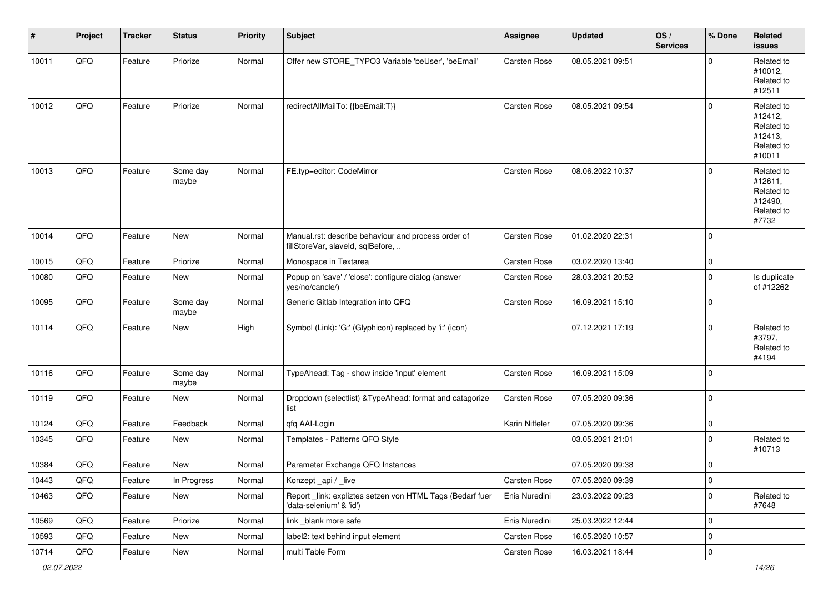| $\vert$ # | Project | <b>Tracker</b> | <b>Status</b>     | <b>Priority</b> | Subject                                                                                  | Assignee            | <b>Updated</b>   | OS/<br><b>Services</b> | % Done         | Related<br><b>issues</b>                                               |
|-----------|---------|----------------|-------------------|-----------------|------------------------------------------------------------------------------------------|---------------------|------------------|------------------------|----------------|------------------------------------------------------------------------|
| 10011     | QFQ     | Feature        | Priorize          | Normal          | Offer new STORE_TYPO3 Variable 'beUser', 'beEmail'                                       | Carsten Rose        | 08.05.2021 09:51 |                        | $\Omega$       | Related to<br>#10012,<br>Related to<br>#12511                          |
| 10012     | QFQ     | Feature        | Priorize          | Normal          | redirectAllMailTo: {{beEmail:T}}                                                         | <b>Carsten Rose</b> | 08.05.2021 09:54 |                        | $\mathbf 0$    | Related to<br>#12412,<br>Related to<br>#12413,<br>Related to<br>#10011 |
| 10013     | QFQ     | Feature        | Some day<br>maybe | Normal          | FE.typ=editor: CodeMirror                                                                | Carsten Rose        | 08.06.2022 10:37 |                        | $\mathbf 0$    | Related to<br>#12611,<br>Related to<br>#12490,<br>Related to<br>#7732  |
| 10014     | QFQ     | Feature        | New               | Normal          | Manual.rst: describe behaviour and process order of<br>fillStoreVar, slaveId, sqlBefore, | Carsten Rose        | 01.02.2020 22:31 |                        | $\mathbf 0$    |                                                                        |
| 10015     | QFQ     | Feature        | Priorize          | Normal          | Monospace in Textarea                                                                    | Carsten Rose        | 03.02.2020 13:40 |                        | 0              |                                                                        |
| 10080     | QFQ     | Feature        | New               | Normal          | Popup on 'save' / 'close': configure dialog (answer<br>yes/no/cancle/)                   | Carsten Rose        | 28.03.2021 20:52 |                        | $\mathbf 0$    | Is duplicate<br>of #12262                                              |
| 10095     | QFQ     | Feature        | Some day<br>maybe | Normal          | Generic Gitlab Integration into QFQ                                                      | Carsten Rose        | 16.09.2021 15:10 |                        | $\mathbf 0$    |                                                                        |
| 10114     | QFQ     | Feature        | New               | High            | Symbol (Link): 'G:' (Glyphicon) replaced by 'i:' (icon)                                  |                     | 07.12.2021 17:19 |                        | $\Omega$       | Related to<br>#3797,<br>Related to<br>#4194                            |
| 10116     | QFQ     | Feature        | Some day<br>maybe | Normal          | TypeAhead: Tag - show inside 'input' element                                             | Carsten Rose        | 16.09.2021 15:09 |                        | $\mathbf 0$    |                                                                        |
| 10119     | QFQ     | Feature        | New               | Normal          | Dropdown (selectlist) & TypeAhead: format and catagorize<br>list                         | Carsten Rose        | 07.05.2020 09:36 |                        | $\mathbf 0$    |                                                                        |
| 10124     | QFQ     | Feature        | Feedback          | Normal          | qfq AAI-Login                                                                            | Karin Niffeler      | 07.05.2020 09:36 |                        | $\pmb{0}$      |                                                                        |
| 10345     | QFQ     | Feature        | New               | Normal          | Templates - Patterns QFQ Style                                                           |                     | 03.05.2021 21:01 |                        | $\mathbf 0$    | Related to<br>#10713                                                   |
| 10384     | QFQ     | Feature        | New               | Normal          | Parameter Exchange QFQ Instances                                                         |                     | 07.05.2020 09:38 |                        | $\mathbf 0$    |                                                                        |
| 10443     | QFQ     | Feature        | In Progress       | Normal          | Konzept_api / _live                                                                      | Carsten Rose        | 07.05.2020 09:39 |                        | $\overline{0}$ |                                                                        |
| 10463     | QFQ     | Feature        | New               | Normal          | Report_link: expliztes setzen von HTML Tags (Bedarf fuer<br>'data-selenium' & 'id')      | Enis Nuredini       | 23.03.2022 09:23 |                        | $\mathbf 0$    | Related to<br>#7648                                                    |
| 10569     | QFQ     | Feature        | Priorize          | Normal          | link _blank more safe                                                                    | Enis Nuredini       | 25.03.2022 12:44 |                        | 0              |                                                                        |
| 10593     | QFQ     | Feature        | New               | Normal          | label2: text behind input element                                                        | Carsten Rose        | 16.05.2020 10:57 |                        | 0              |                                                                        |
| 10714     | QFQ     | Feature        | New               | Normal          | multi Table Form                                                                         | Carsten Rose        | 16.03.2021 18:44 |                        | $\overline{0}$ |                                                                        |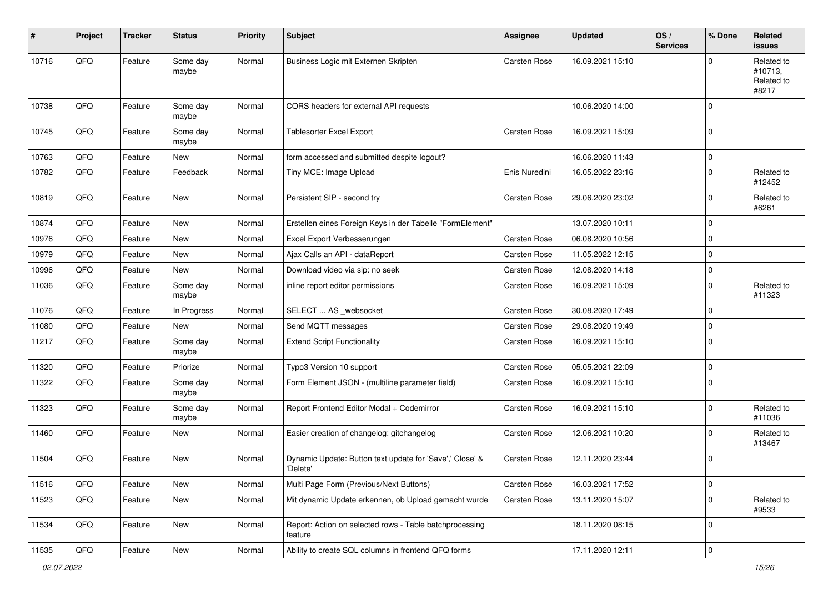| #     | Project | <b>Tracker</b> | <b>Status</b>     | <b>Priority</b> | Subject                                                              | <b>Assignee</b> | <b>Updated</b>   | OS/<br><b>Services</b> | % Done      | Related<br><b>issues</b>                     |
|-------|---------|----------------|-------------------|-----------------|----------------------------------------------------------------------|-----------------|------------------|------------------------|-------------|----------------------------------------------|
| 10716 | QFQ     | Feature        | Some day<br>maybe | Normal          | Business Logic mit Externen Skripten                                 | Carsten Rose    | 16.09.2021 15:10 |                        | $\Omega$    | Related to<br>#10713,<br>Related to<br>#8217 |
| 10738 | QFQ     | Feature        | Some day<br>maybe | Normal          | CORS headers for external API requests                               |                 | 10.06.2020 14:00 |                        | $\Omega$    |                                              |
| 10745 | QFQ     | Feature        | Some day<br>maybe | Normal          | <b>Tablesorter Excel Export</b>                                      | Carsten Rose    | 16.09.2021 15:09 |                        | $\Omega$    |                                              |
| 10763 | QFQ     | Feature        | New               | Normal          | form accessed and submitted despite logout?                          |                 | 16.06.2020 11:43 |                        | 0           |                                              |
| 10782 | QFQ     | Feature        | Feedback          | Normal          | Tiny MCE: Image Upload                                               | Enis Nuredini   | 16.05.2022 23:16 |                        | $\Omega$    | Related to<br>#12452                         |
| 10819 | QFQ     | Feature        | <b>New</b>        | Normal          | Persistent SIP - second try                                          | Carsten Rose    | 29.06.2020 23:02 |                        | $\mathbf 0$ | Related to<br>#6261                          |
| 10874 | QFQ     | Feature        | New               | Normal          | Erstellen eines Foreign Keys in der Tabelle "FormElement"            |                 | 13.07.2020 10:11 |                        | $\mathbf 0$ |                                              |
| 10976 | QFQ     | Feature        | New               | Normal          | Excel Export Verbesserungen                                          | Carsten Rose    | 06.08.2020 10:56 |                        | $\Omega$    |                                              |
| 10979 | QFQ     | Feature        | New               | Normal          | Ajax Calls an API - dataReport                                       | Carsten Rose    | 11.05.2022 12:15 |                        | $\mathbf 0$ |                                              |
| 10996 | QFQ     | Feature        | New               | Normal          | Download video via sip: no seek                                      | Carsten Rose    | 12.08.2020 14:18 |                        | $\Omega$    |                                              |
| 11036 | QFQ     | Feature        | Some day<br>maybe | Normal          | inline report editor permissions                                     | Carsten Rose    | 16.09.2021 15:09 |                        | $\Omega$    | Related to<br>#11323                         |
| 11076 | QFQ     | Feature        | In Progress       | Normal          | SELECT  AS _websocket                                                | Carsten Rose    | 30.08.2020 17:49 |                        | $\Omega$    |                                              |
| 11080 | QFQ     | Feature        | <b>New</b>        | Normal          | Send MQTT messages                                                   | Carsten Rose    | 29.08.2020 19:49 |                        | $\mathbf 0$ |                                              |
| 11217 | QFQ     | Feature        | Some day<br>maybe | Normal          | <b>Extend Script Functionality</b>                                   | Carsten Rose    | 16.09.2021 15:10 |                        | $\Omega$    |                                              |
| 11320 | QFQ     | Feature        | Priorize          | Normal          | Typo3 Version 10 support                                             | Carsten Rose    | 05.05.2021 22:09 |                        | $\mathbf 0$ |                                              |
| 11322 | QFQ     | Feature        | Some day<br>maybe | Normal          | Form Element JSON - (multiline parameter field)                      | Carsten Rose    | 16.09.2021 15:10 |                        | $\mathbf 0$ |                                              |
| 11323 | QFQ     | Feature        | Some day<br>maybe | Normal          | Report Frontend Editor Modal + Codemirror                            | Carsten Rose    | 16.09.2021 15:10 |                        | $\Omega$    | Related to<br>#11036                         |
| 11460 | QFQ     | Feature        | New               | Normal          | Easier creation of changelog: gitchangelog                           | Carsten Rose    | 12.06.2021 10:20 |                        | $\Omega$    | Related to<br>#13467                         |
| 11504 | QFQ     | Feature        | New               | Normal          | Dynamic Update: Button text update for 'Save',' Close' &<br>'Delete' | Carsten Rose    | 12.11.2020 23:44 |                        | $\Omega$    |                                              |
| 11516 | QFQ     | Feature        | New               | Normal          | Multi Page Form (Previous/Next Buttons)                              | Carsten Rose    | 16.03.2021 17:52 |                        | 0           |                                              |
| 11523 | QFQ     | Feature        | New               | Normal          | Mit dynamic Update erkennen, ob Upload gemacht wurde                 | Carsten Rose    | 13.11.2020 15:07 |                        | $\Omega$    | Related to<br>#9533                          |
| 11534 | QFQ     | Feature        | New               | Normal          | Report: Action on selected rows - Table batchprocessing<br>feature   |                 | 18.11.2020 08:15 |                        | $\mathbf 0$ |                                              |
| 11535 | QFG     | Feature        | New               | Normal          | Ability to create SQL columns in frontend QFQ forms                  |                 | 17.11.2020 12:11 |                        | $\pmb{0}$   |                                              |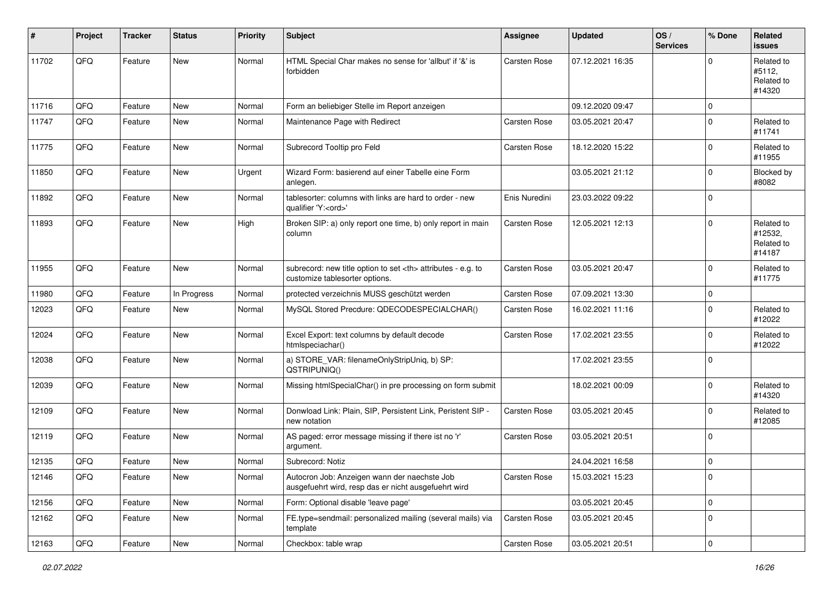| #     | Project | <b>Tracker</b> | <b>Status</b> | <b>Priority</b> | Subject                                                                                              | <b>Assignee</b>                                        | <b>Updated</b>   | OS/<br><b>Services</b> | % Done         | Related<br>issues                             |                      |
|-------|---------|----------------|---------------|-----------------|------------------------------------------------------------------------------------------------------|--------------------------------------------------------|------------------|------------------------|----------------|-----------------------------------------------|----------------------|
| 11702 | QFQ     | Feature        | <b>New</b>    | Normal          | HTML Special Char makes no sense for 'allbut' if '&' is<br>forbidden                                 | <b>Carsten Rose</b>                                    | 07.12.2021 16:35 |                        | $\Omega$       | Related to<br>#5112.<br>Related to<br>#14320  |                      |
| 11716 | QFQ     | Feature        | <b>New</b>    | Normal          | Form an beliebiger Stelle im Report anzeigen                                                         |                                                        | 09.12.2020 09:47 |                        | $\mathbf 0$    |                                               |                      |
| 11747 | QFQ     | Feature        | New           | Normal          | Maintenance Page with Redirect                                                                       | Carsten Rose                                           | 03.05.2021 20:47 |                        | $\Omega$       | Related to<br>#11741                          |                      |
| 11775 | QFQ     | Feature        | New           | Normal          | Subrecord Tooltip pro Feld                                                                           | Carsten Rose                                           | 18.12.2020 15:22 |                        | $\mathbf 0$    | Related to<br>#11955                          |                      |
| 11850 | QFQ     | Feature        | New           | Urgent          | Wizard Form: basierend auf einer Tabelle eine Form<br>anlegen.                                       |                                                        | 03.05.2021 21:12 |                        | $\mathbf 0$    | Blocked by<br>#8082                           |                      |
| 11892 | QFQ     | Feature        | New           | Normal          | tablesorter: columns with links are hard to order - new<br>qualifier 'Y: <ord>'</ord>                | Enis Nuredini                                          | 23.03.2022 09:22 |                        | $\mathbf 0$    |                                               |                      |
| 11893 | QFQ     | Feature        | New           | High            | Broken SIP: a) only report one time, b) only report in main<br>column                                | Carsten Rose                                           | 12.05.2021 12:13 |                        | $\Omega$       | Related to<br>#12532,<br>Related to<br>#14187 |                      |
| 11955 | QFQ     | Feature        | New           | Normal          | subrecord: new title option to set <th> attributes - e.g. to<br/>customize tablesorter options.</th> | attributes - e.g. to<br>customize tablesorter options. | Carsten Rose     | 03.05.2021 20:47       |                | $\Omega$                                      | Related to<br>#11775 |
| 11980 | QFQ     | Feature        | In Progress   | Normal          | protected verzeichnis MUSS geschützt werden                                                          | Carsten Rose                                           | 07.09.2021 13:30 |                        | $\mathbf 0$    |                                               |                      |
| 12023 | QFQ     | Feature        | <b>New</b>    | Normal          | MySQL Stored Precdure: QDECODESPECIALCHAR()                                                          | Carsten Rose                                           | 16.02.2021 11:16 |                        | $\mathbf 0$    | Related to<br>#12022                          |                      |
| 12024 | QFQ     | Feature        | New           | Normal          | Excel Export: text columns by default decode<br>htmlspeciachar()                                     | Carsten Rose                                           | 17.02.2021 23:55 |                        | $\mathbf 0$    | Related to<br>#12022                          |                      |
| 12038 | QFQ     | Feature        | New           | Normal          | a) STORE_VAR: filenameOnlyStripUniq, b) SP:<br>QSTRIPUNIQ()                                          |                                                        | 17.02.2021 23:55 |                        | $\mathbf 0$    |                                               |                      |
| 12039 | QFQ     | Feature        | New           | Normal          | Missing htmlSpecialChar() in pre processing on form submit                                           |                                                        | 18.02.2021 00:09 |                        | $\mathbf 0$    | Related to<br>#14320                          |                      |
| 12109 | QFQ     | Feature        | New           | Normal          | Donwload Link: Plain, SIP, Persistent Link, Peristent SIP -<br>new notation                          | Carsten Rose                                           | 03.05.2021 20:45 |                        | $\Omega$       | Related to<br>#12085                          |                      |
| 12119 | QFQ     | Feature        | New           | Normal          | AS paged: error message missing if there ist no 'r'<br>argument.                                     | <b>Carsten Rose</b>                                    | 03.05.2021 20:51 |                        | $\mathbf 0$    |                                               |                      |
| 12135 | QFQ     | Feature        | New           | Normal          | Subrecord: Notiz                                                                                     |                                                        | 24.04.2021 16:58 |                        | 0              |                                               |                      |
| 12146 | QFQ     | Feature        | New           | Normal          | Autocron Job: Anzeigen wann der naechste Job<br>ausgefuehrt wird, resp das er nicht ausgefuehrt wird | Carsten Rose                                           | 15.03.2021 15:23 |                        | 0              |                                               |                      |
| 12156 | QFQ     | Feature        | New           | Normal          | Form: Optional disable 'leave page'                                                                  |                                                        | 03.05.2021 20:45 |                        | $\mathsf 0$    |                                               |                      |
| 12162 | QFQ     | Feature        | New           | Normal          | FE.type=sendmail: personalized mailing (several mails) via<br>template                               | Carsten Rose                                           | 03.05.2021 20:45 |                        | $\mathbf 0$    |                                               |                      |
| 12163 | QFG     | Feature        | New           | Normal          | Checkbox: table wrap                                                                                 | Carsten Rose                                           | 03.05.2021 20:51 |                        | $\overline{0}$ |                                               |                      |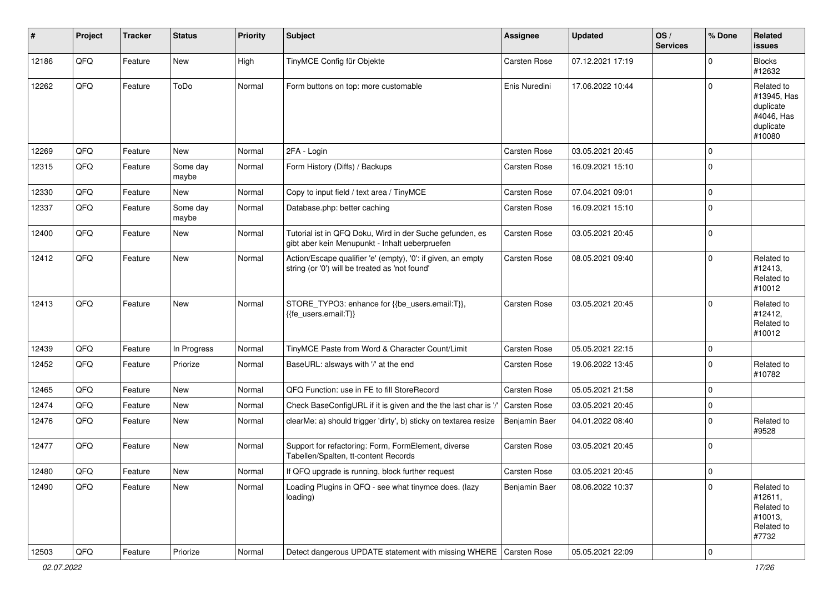| #     | Project | <b>Tracker</b> | <b>Status</b>     | <b>Priority</b> | <b>Subject</b>                                                                                                 | <b>Assignee</b> | Updated          | OS/<br><b>Services</b> | % Done      | Related<br>issues                                                           |
|-------|---------|----------------|-------------------|-----------------|----------------------------------------------------------------------------------------------------------------|-----------------|------------------|------------------------|-------------|-----------------------------------------------------------------------------|
| 12186 | QFQ     | Feature        | <b>New</b>        | High            | TinyMCE Config für Objekte                                                                                     | Carsten Rose    | 07.12.2021 17:19 |                        | $\Omega$    | <b>Blocks</b><br>#12632                                                     |
| 12262 | QFQ     | Feature        | ToDo              | Normal          | Form buttons on top: more customable                                                                           | Enis Nuredini   | 17.06.2022 10:44 |                        | $\Omega$    | Related to<br>#13945, Has<br>duplicate<br>#4046, Has<br>duplicate<br>#10080 |
| 12269 | QFQ     | Feature        | <b>New</b>        | Normal          | 2FA - Login                                                                                                    | Carsten Rose    | 03.05.2021 20:45 |                        | $\Omega$    |                                                                             |
| 12315 | QFQ     | Feature        | Some day<br>maybe | Normal          | Form History (Diffs) / Backups                                                                                 | Carsten Rose    | 16.09.2021 15:10 |                        | $\mathbf 0$ |                                                                             |
| 12330 | QFQ     | Feature        | <b>New</b>        | Normal          | Copy to input field / text area / TinyMCE                                                                      | Carsten Rose    | 07.04.2021 09:01 |                        | $\Omega$    |                                                                             |
| 12337 | QFQ     | Feature        | Some day<br>maybe | Normal          | Database.php: better caching                                                                                   | Carsten Rose    | 16.09.2021 15:10 |                        | $\mathbf 0$ |                                                                             |
| 12400 | QFQ     | Feature        | New               | Normal          | Tutorial ist in QFQ Doku, Wird in der Suche gefunden, es<br>gibt aber kein Menupunkt - Inhalt ueberpruefen     | Carsten Rose    | 03.05.2021 20:45 |                        | $\Omega$    |                                                                             |
| 12412 | QFQ     | Feature        | New               | Normal          | Action/Escape qualifier 'e' (empty), '0': if given, an empty<br>string (or '0') will be treated as 'not found' | Carsten Rose    | 08.05.2021 09:40 |                        | $\mathbf 0$ | Related to<br>#12413,<br>Related to<br>#10012                               |
| 12413 | QFQ     | Feature        | <b>New</b>        | Normal          | STORE_TYPO3: enhance for {{be_users.email:T}},<br>{{fe users.email:T}}                                         | Carsten Rose    | 03.05.2021 20:45 |                        | $\Omega$    | Related to<br>#12412,<br>Related to<br>#10012                               |
| 12439 | QFQ     | Feature        | In Progress       | Normal          | TinyMCE Paste from Word & Character Count/Limit                                                                | Carsten Rose    | 05.05.2021 22:15 |                        | $\mathbf 0$ |                                                                             |
| 12452 | QFQ     | Feature        | Priorize          | Normal          | BaseURL: alsways with '/' at the end                                                                           | Carsten Rose    | 19.06.2022 13:45 |                        | $\Omega$    | Related to<br>#10782                                                        |
| 12465 | QFQ     | Feature        | <b>New</b>        | Normal          | QFQ Function: use in FE to fill StoreRecord                                                                    | Carsten Rose    | 05.05.2021 21:58 |                        | $\Omega$    |                                                                             |
| 12474 | QFQ     | Feature        | <b>New</b>        | Normal          | Check BaseConfigURL if it is given and the the last char is '/                                                 | Carsten Rose    | 03.05.2021 20:45 |                        | $\mathbf 0$ |                                                                             |
| 12476 | QFQ     | Feature        | New               | Normal          | clearMe: a) should trigger 'dirty', b) sticky on textarea resize                                               | Benjamin Baer   | 04.01.2022 08:40 |                        | $\Omega$    | Related to<br>#9528                                                         |
| 12477 | QFQ     | Feature        | New               | Normal          | Support for refactoring: Form, FormElement, diverse<br>Tabellen/Spalten, tt-content Records                    | Carsten Rose    | 03.05.2021 20:45 |                        | $\Omega$    |                                                                             |
| 12480 | QFQ     | Feature        | New               | Normal          | If QFQ upgrade is running, block further request                                                               | Carsten Rose    | 03.05.2021 20:45 |                        | $\pmb{0}$   |                                                                             |
| 12490 | QFQ     | Feature        | New               | Normal          | Loading Plugins in QFQ - see what tinymce does. (lazy<br>loading)                                              | Benjamin Baer   | 08.06.2022 10:37 |                        | $\mathbf 0$ | Related to<br>#12611,<br>Related to<br>#10013,<br>Related to<br>#7732       |
| 12503 | QFQ     | Feature        | Priorize          | Normal          | Detect dangerous UPDATE statement with missing WHERE   Carsten Rose                                            |                 | 05.05.2021 22:09 |                        | $\pmb{0}$   |                                                                             |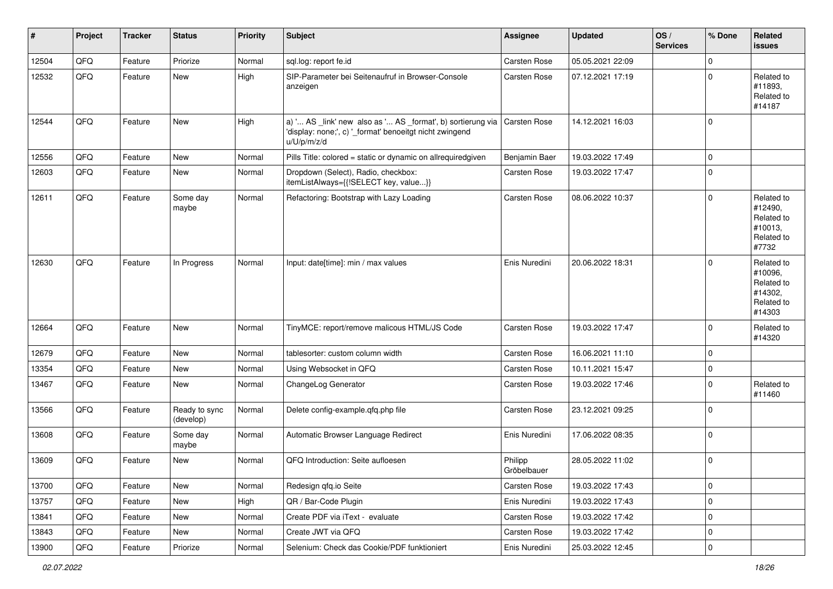| #     | Project | <b>Tracker</b> | <b>Status</b>              | <b>Priority</b> | Subject                                                                                                                               | <b>Assignee</b>        | <b>Updated</b>   | OS/<br><b>Services</b> | % Done      | Related<br>issues                                                      |
|-------|---------|----------------|----------------------------|-----------------|---------------------------------------------------------------------------------------------------------------------------------------|------------------------|------------------|------------------------|-------------|------------------------------------------------------------------------|
| 12504 | QFQ     | Feature        | Priorize                   | Normal          | sql.log: report fe.id                                                                                                                 | Carsten Rose           | 05.05.2021 22:09 |                        | $\mathbf 0$ |                                                                        |
| 12532 | QFQ     | Feature        | New                        | High            | SIP-Parameter bei Seitenaufruf in Browser-Console<br>anzeigen                                                                         | Carsten Rose           | 07.12.2021 17:19 |                        | $\mathbf 0$ | Related to<br>#11893,<br>Related to<br>#14187                          |
| 12544 | QFQ     | Feature        | New                        | High            | a) ' AS _link' new also as ' AS _format', b) sortierung via<br>'display: none;', c) '_format' benoeitgt nicht zwingend<br>u/U/p/m/z/d | <b>Carsten Rose</b>    | 14.12.2021 16:03 |                        | $\mathbf 0$ |                                                                        |
| 12556 | QFQ     | Feature        | <b>New</b>                 | Normal          | Pills Title: colored = static or dynamic on allrequiredgiven                                                                          | Benjamin Baer          | 19.03.2022 17:49 |                        | $\mathbf 0$ |                                                                        |
| 12603 | QFQ     | Feature        | <b>New</b>                 | Normal          | Dropdown (Select), Radio, checkbox:<br>itemListAlways={{!SELECT key, value}}                                                          | Carsten Rose           | 19.03.2022 17:47 |                        | $\mathbf 0$ |                                                                        |
| 12611 | QFQ     | Feature        | Some day<br>maybe          | Normal          | Refactoring: Bootstrap with Lazy Loading                                                                                              | Carsten Rose           | 08.06.2022 10:37 |                        | $\mathbf 0$ | Related to<br>#12490,<br>Related to<br>#10013,<br>Related to<br>#7732  |
| 12630 | QFQ     | Feature        | In Progress                | Normal          | Input: date[time]: min / max values                                                                                                   | Enis Nuredini          | 20.06.2022 18:31 |                        | $\Omega$    | Related to<br>#10096,<br>Related to<br>#14302.<br>Related to<br>#14303 |
| 12664 | QFQ     | Feature        | <b>New</b>                 | Normal          | TinyMCE: report/remove malicous HTML/JS Code                                                                                          | Carsten Rose           | 19.03.2022 17:47 |                        | $\Omega$    | Related to<br>#14320                                                   |
| 12679 | QFQ     | Feature        | New                        | Normal          | tablesorter: custom column width                                                                                                      | Carsten Rose           | 16.06.2021 11:10 |                        | $\mathbf 0$ |                                                                        |
| 13354 | QFQ     | Feature        | <b>New</b>                 | Normal          | Using Websocket in QFQ                                                                                                                | Carsten Rose           | 10.11.2021 15:47 |                        | $\mathbf 0$ |                                                                        |
| 13467 | QFQ     | Feature        | New                        | Normal          | ChangeLog Generator                                                                                                                   | Carsten Rose           | 19.03.2022 17:46 |                        | $\mathbf 0$ | Related to<br>#11460                                                   |
| 13566 | QFQ     | Feature        | Ready to sync<br>(develop) | Normal          | Delete config-example.qfq.php file                                                                                                    | Carsten Rose           | 23.12.2021 09:25 |                        | 0           |                                                                        |
| 13608 | QFQ     | Feature        | Some day<br>maybe          | Normal          | Automatic Browser Language Redirect                                                                                                   | Enis Nuredini          | 17.06.2022 08:35 |                        | $\Omega$    |                                                                        |
| 13609 | QFQ     | Feature        | New                        | Normal          | QFQ Introduction: Seite aufloesen                                                                                                     | Philipp<br>Gröbelbauer | 28.05.2022 11:02 |                        | $\mathbf 0$ |                                                                        |
| 13700 | QFQ     | Feature        | New                        | Normal          | Redesign gfg.io Seite                                                                                                                 | Carsten Rose           | 19.03.2022 17:43 |                        | 0           |                                                                        |
| 13757 | QFQ     | Feature        | New                        | High            | QR / Bar-Code Plugin                                                                                                                  | Enis Nuredini          | 19.03.2022 17:43 |                        | 0           |                                                                        |
| 13841 | QFQ     | Feature        | New                        | Normal          | Create PDF via iText - evaluate                                                                                                       | Carsten Rose           | 19.03.2022 17:42 |                        | 0           |                                                                        |
| 13843 | QFQ     | Feature        | New                        | Normal          | Create JWT via QFQ                                                                                                                    | Carsten Rose           | 19.03.2022 17:42 |                        | 0           |                                                                        |
| 13900 | QFQ     | Feature        | Priorize                   | Normal          | Selenium: Check das Cookie/PDF funktioniert                                                                                           | Enis Nuredini          | 25.03.2022 12:45 |                        | 0           |                                                                        |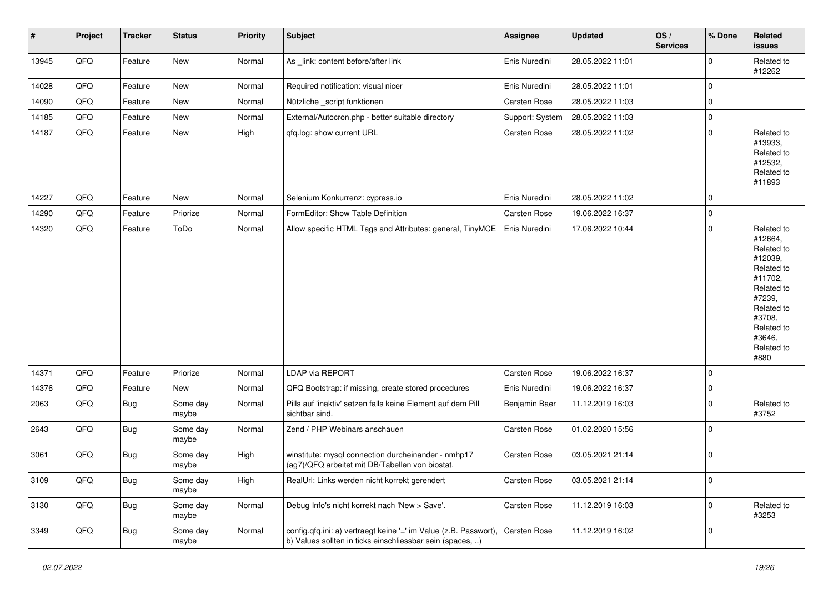| $\sharp$ | Project | <b>Tracker</b> | <b>Status</b>     | <b>Priority</b> | Subject                                                                                                                       | <b>Assignee</b> | <b>Updated</b>   | OS/<br><b>Services</b> | % Done      | Related<br>issues                                                                                                                                                     |
|----------|---------|----------------|-------------------|-----------------|-------------------------------------------------------------------------------------------------------------------------------|-----------------|------------------|------------------------|-------------|-----------------------------------------------------------------------------------------------------------------------------------------------------------------------|
| 13945    | QFQ     | Feature        | New               | Normal          | As _link: content before/after link                                                                                           | Enis Nuredini   | 28.05.2022 11:01 |                        | $\mathbf 0$ | Related to<br>#12262                                                                                                                                                  |
| 14028    | QFQ     | Feature        | New               | Normal          | Required notification: visual nicer                                                                                           | Enis Nuredini   | 28.05.2022 11:01 |                        | 0           |                                                                                                                                                                       |
| 14090    | QFQ     | Feature        | New               | Normal          | Nützliche _script funktionen                                                                                                  | Carsten Rose    | 28.05.2022 11:03 |                        | $\mathbf 0$ |                                                                                                                                                                       |
| 14185    | QFQ     | Feature        | <b>New</b>        | Normal          | External/Autocron.php - better suitable directory                                                                             | Support: System | 28.05.2022 11:03 |                        | $\mathbf 0$ |                                                                                                                                                                       |
| 14187    | QFQ     | Feature        | <b>New</b>        | High            | qfq.log: show current URL                                                                                                     | Carsten Rose    | 28.05.2022 11:02 |                        | $\mathbf 0$ | Related to<br>#13933,<br>Related to<br>#12532,<br>Related to<br>#11893                                                                                                |
| 14227    | QFQ     | Feature        | <b>New</b>        | Normal          | Selenium Konkurrenz: cypress.io                                                                                               | Enis Nuredini   | 28.05.2022 11:02 |                        | $\mathbf 0$ |                                                                                                                                                                       |
| 14290    | QFQ     | Feature        | Priorize          | Normal          | FormEditor: Show Table Definition                                                                                             | Carsten Rose    | 19.06.2022 16:37 |                        | $\mathbf 0$ |                                                                                                                                                                       |
| 14320    | QFQ     | Feature        | ToDo              | Normal          | Allow specific HTML Tags and Attributes: general, TinyMCE                                                                     | Enis Nuredini   | 17.06.2022 10:44 |                        | 0           | Related to<br>#12664,<br>Related to<br>#12039,<br>Related to<br>#11702,<br>Related to<br>#7239,<br>Related to<br>#3708,<br>Related to<br>#3646,<br>Related to<br>#880 |
| 14371    | QFQ     | Feature        | Priorize          | Normal          | LDAP via REPORT                                                                                                               | Carsten Rose    | 19.06.2022 16:37 |                        | $\mathbf 0$ |                                                                                                                                                                       |
| 14376    | QFQ     | Feature        | New               | Normal          | QFQ Bootstrap: if missing, create stored procedures                                                                           | Enis Nuredini   | 19.06.2022 16:37 |                        | 0           |                                                                                                                                                                       |
| 2063     | QFQ     | Bug            | Some day<br>maybe | Normal          | Pills auf 'inaktiv' setzen falls keine Element auf dem Pill<br>sichtbar sind.                                                 | Benjamin Baer   | 11.12.2019 16:03 |                        | $\mathbf 0$ | Related to<br>#3752                                                                                                                                                   |
| 2643     | QFQ     | <b>Bug</b>     | Some day<br>maybe | Normal          | Zend / PHP Webinars anschauen                                                                                                 | Carsten Rose    | 01.02.2020 15:56 |                        | $\mathbf 0$ |                                                                                                                                                                       |
| 3061     | QFQ     | Bug            | Some day<br>maybe | High            | winstitute: mysql connection durcheinander - nmhp17<br>(ag7)/QFQ arbeitet mit DB/Tabellen von biostat.                        | Carsten Rose    | 03.05.2021 21:14 |                        | $\mathbf 0$ |                                                                                                                                                                       |
| 3109     | QFQ     | <b>Bug</b>     | Some day<br>maybe | High            | RealUrl: Links werden nicht korrekt gerendert                                                                                 | Carsten Rose    | 03.05.2021 21:14 |                        | $\mathsf 0$ |                                                                                                                                                                       |
| 3130     | QFQ     | <b>Bug</b>     | Some day<br>maybe | Normal          | Debug Info's nicht korrekt nach 'New > Save'.                                                                                 | Carsten Rose    | 11.12.2019 16:03 |                        | $\mathsf 0$ | Related to<br>#3253                                                                                                                                                   |
| 3349     | QFQ     | <b>Bug</b>     | Some day<br>maybe | Normal          | config.qfq.ini: a) vertraegt keine '=' im Value (z.B. Passwort),<br>b) Values sollten in ticks einschliessbar sein (spaces, ) | Carsten Rose    | 11.12.2019 16:02 |                        | $\mathbf 0$ |                                                                                                                                                                       |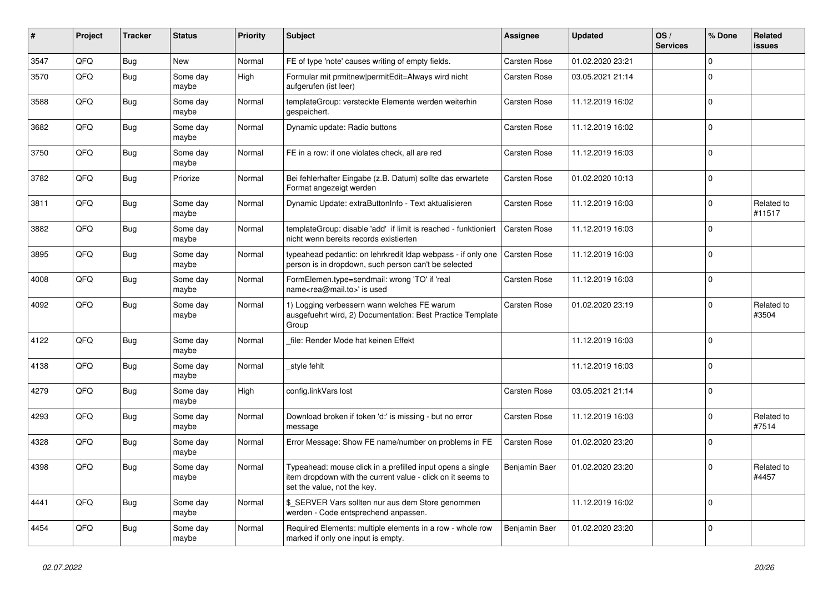| #    | Project | <b>Tracker</b> | <b>Status</b>     | <b>Priority</b> | <b>Subject</b>                                                                                                                                           | Assignee            | <b>Updated</b>   | OS/<br><b>Services</b> | % Done      | Related<br>issues    |
|------|---------|----------------|-------------------|-----------------|----------------------------------------------------------------------------------------------------------------------------------------------------------|---------------------|------------------|------------------------|-------------|----------------------|
| 3547 | QFQ     | Bug            | <b>New</b>        | Normal          | FE of type 'note' causes writing of empty fields.                                                                                                        | <b>Carsten Rose</b> | 01.02.2020 23:21 |                        | $\mathbf 0$ |                      |
| 3570 | QFQ     | Bug            | Some day<br>maybe | High            | Formular mit prmitnew permitEdit=Always wird nicht<br>aufgerufen (ist leer)                                                                              | <b>Carsten Rose</b> | 03.05.2021 21:14 |                        | $\mathbf 0$ |                      |
| 3588 | QFQ     | <b>Bug</b>     | Some day<br>maybe | Normal          | templateGroup: versteckte Elemente werden weiterhin<br>gespeichert.                                                                                      | Carsten Rose        | 11.12.2019 16:02 |                        | $\mathbf 0$ |                      |
| 3682 | QFQ     | Bug            | Some day<br>maybe | Normal          | Dynamic update: Radio buttons                                                                                                                            | Carsten Rose        | 11.12.2019 16:02 |                        | $\mathbf 0$ |                      |
| 3750 | QFQ     | Bug            | Some day<br>maybe | Normal          | FE in a row: if one violates check, all are red                                                                                                          | Carsten Rose        | 11.12.2019 16:03 |                        | $\mathbf 0$ |                      |
| 3782 | QFQ     | <b>Bug</b>     | Priorize          | Normal          | Bei fehlerhafter Eingabe (z.B. Datum) sollte das erwartete<br>Format angezeigt werden                                                                    | Carsten Rose        | 01.02.2020 10:13 |                        | $\Omega$    |                      |
| 3811 | QFQ     | Bug            | Some day<br>maybe | Normal          | Dynamic Update: extraButtonInfo - Text aktualisieren                                                                                                     | Carsten Rose        | 11.12.2019 16:03 |                        | $\mathbf 0$ | Related to<br>#11517 |
| 3882 | QFQ     | Bug            | Some day<br>maybe | Normal          | templateGroup: disable 'add' if limit is reached - funktioniert<br>nicht wenn bereits records existierten                                                | Carsten Rose        | 11.12.2019 16:03 |                        | $\Omega$    |                      |
| 3895 | QFQ     | <b>Bug</b>     | Some day<br>maybe | Normal          | typeahead pedantic: on lehrkredit Idap webpass - if only one<br>person is in dropdown, such person can't be selected                                     | Carsten Rose        | 11.12.2019 16:03 |                        | $\mathbf 0$ |                      |
| 4008 | QFQ     | <b>Bug</b>     | Some day<br>maybe | Normal          | FormElemen.type=sendmail: wrong 'TO' if 'real<br>name <rea@mail.to>' is used</rea@mail.to>                                                               | Carsten Rose        | 11.12.2019 16:03 |                        | $\mathbf 0$ |                      |
| 4092 | QFQ     | Bug            | Some day<br>maybe | Normal          | 1) Logging verbessern wann welches FE warum<br>ausgefuehrt wird, 2) Documentation: Best Practice Template<br>Group                                       | Carsten Rose        | 01.02.2020 23:19 |                        | $\mathbf 0$ | Related to<br>#3504  |
| 4122 | QFQ     | Bug            | Some day<br>maybe | Normal          | file: Render Mode hat keinen Effekt                                                                                                                      |                     | 11.12.2019 16:03 |                        | $\Omega$    |                      |
| 4138 | QFQ     | <b>Bug</b>     | Some day<br>maybe | Normal          | style fehlt                                                                                                                                              |                     | 11.12.2019 16:03 |                        | $\mathbf 0$ |                      |
| 4279 | QFQ     | Bug            | Some day<br>maybe | High            | config.linkVars lost                                                                                                                                     | <b>Carsten Rose</b> | 03.05.2021 21:14 |                        | $\mathbf 0$ |                      |
| 4293 | QFQ     | Bug            | Some day<br>maybe | Normal          | Download broken if token 'd:' is missing - but no error<br>message                                                                                       | Carsten Rose        | 11.12.2019 16:03 |                        | $\mathbf 0$ | Related to<br>#7514  |
| 4328 | QFQ     | <b>Bug</b>     | Some day<br>maybe | Normal          | Error Message: Show FE name/number on problems in FE                                                                                                     | Carsten Rose        | 01.02.2020 23:20 |                        | $\mathbf 0$ |                      |
| 4398 | QFQ     | Bug            | Some day<br>maybe | Normal          | Typeahead: mouse click in a prefilled input opens a single<br>item dropdown with the current value - click on it seems to<br>set the value, not the key. | Benjamin Baer       | 01.02.2020 23:20 |                        | $\mathbf 0$ | Related to<br>#4457  |
| 4441 | QFQ     | <b>Bug</b>     | Some day<br>maybe | Normal          | \$ SERVER Vars sollten nur aus dem Store genommen<br>werden - Code entsprechend anpassen.                                                                |                     | 11.12.2019 16:02 |                        | $\Omega$    |                      |
| 4454 | QFQ     | <b>Bug</b>     | Some day<br>maybe | Normal          | Required Elements: multiple elements in a row - whole row<br>marked if only one input is empty.                                                          | Benjamin Baer       | 01.02.2020 23:20 |                        | $\mathbf 0$ |                      |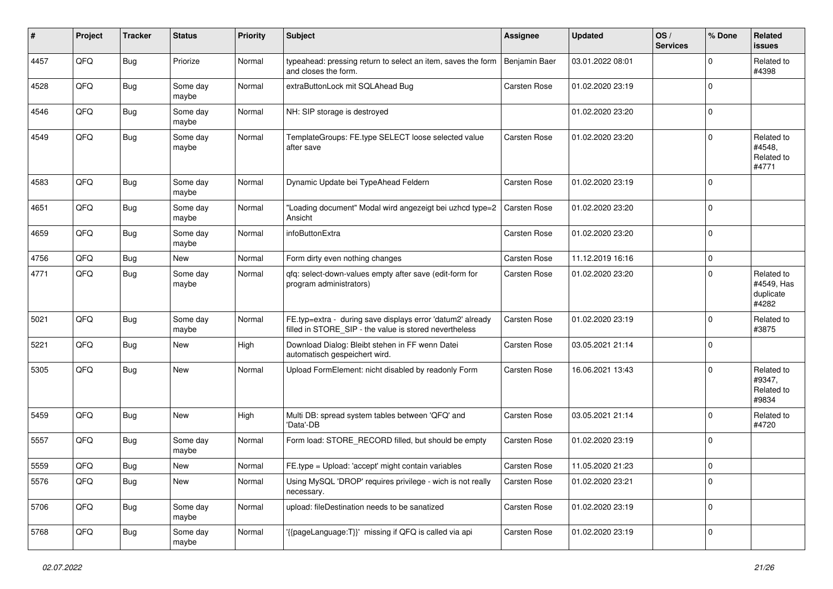| #    | Project | <b>Tracker</b> | <b>Status</b>     | <b>Priority</b> | Subject                                                                                                              | <b>Assignee</b> | <b>Updated</b>   | OS/<br><b>Services</b> | % Done      | Related<br><b>issues</b>                       |
|------|---------|----------------|-------------------|-----------------|----------------------------------------------------------------------------------------------------------------------|-----------------|------------------|------------------------|-------------|------------------------------------------------|
| 4457 | QFQ     | <b>Bug</b>     | Priorize          | Normal          | typeahead: pressing return to select an item, saves the form<br>and closes the form.                                 | Benjamin Baer   | 03.01.2022 08:01 |                        | $\Omega$    | Related to<br>#4398                            |
| 4528 | QFQ     | <b>Bug</b>     | Some day<br>maybe | Normal          | extraButtonLock mit SQLAhead Bug                                                                                     | Carsten Rose    | 01.02.2020 23:19 |                        | $\mathbf 0$ |                                                |
| 4546 | QFQ     | <b>Bug</b>     | Some day<br>maybe | Normal          | NH: SIP storage is destroyed                                                                                         |                 | 01.02.2020 23:20 |                        | $\Omega$    |                                                |
| 4549 | QFQ     | Bug            | Some day<br>maybe | Normal          | TemplateGroups: FE.type SELECT loose selected value<br>after save                                                    | Carsten Rose    | 01.02.2020 23:20 |                        | $\mathbf 0$ | Related to<br>#4548,<br>Related to<br>#4771    |
| 4583 | QFQ     | Bug            | Some day<br>maybe | Normal          | Dynamic Update bei TypeAhead Feldern                                                                                 | Carsten Rose    | 01.02.2020 23:19 |                        | $\Omega$    |                                                |
| 4651 | QFQ     | Bug            | Some day<br>maybe | Normal          | 'Loading document" Modal wird angezeigt bei uzhcd type=2<br>Ansicht                                                  | Carsten Rose    | 01.02.2020 23:20 |                        | $\Omega$    |                                                |
| 4659 | QFQ     | Bug            | Some day<br>maybe | Normal          | infoButtonExtra                                                                                                      | Carsten Rose    | 01.02.2020 23:20 |                        | $\Omega$    |                                                |
| 4756 | QFQ     | Bug            | New               | Normal          | Form dirty even nothing changes                                                                                      | Carsten Rose    | 11.12.2019 16:16 |                        | $\mathbf 0$ |                                                |
| 4771 | QFQ     | <b>Bug</b>     | Some day<br>maybe | Normal          | qfq: select-down-values empty after save (edit-form for<br>program administrators)                                   | Carsten Rose    | 01.02.2020 23:20 |                        | $\Omega$    | Related to<br>#4549, Has<br>duplicate<br>#4282 |
| 5021 | QFQ     | Bug            | Some day<br>maybe | Normal          | FE.typ=extra - during save displays error 'datum2' already<br>filled in STORE_SIP - the value is stored nevertheless | Carsten Rose    | 01.02.2020 23:19 |                        | $\Omega$    | Related to<br>#3875                            |
| 5221 | QFQ     | <b>Bug</b>     | <b>New</b>        | High            | Download Dialog: Bleibt stehen in FF wenn Datei<br>automatisch gespeichert wird.                                     | Carsten Rose    | 03.05.2021 21:14 |                        | $\mathbf 0$ |                                                |
| 5305 | QFQ     | <b>Bug</b>     | <b>New</b>        | Normal          | Upload FormElement: nicht disabled by readonly Form                                                                  | Carsten Rose    | 16.06.2021 13:43 |                        | $\Omega$    | Related to<br>#9347,<br>Related to<br>#9834    |
| 5459 | QFQ     | <b>Bug</b>     | <b>New</b>        | High            | Multi DB: spread system tables between 'QFQ' and<br>'Data'-DB                                                        | Carsten Rose    | 03.05.2021 21:14 |                        | $\Omega$    | Related to<br>#4720                            |
| 5557 | QFQ     | <b>Bug</b>     | Some day<br>maybe | Normal          | Form load: STORE_RECORD filled, but should be empty                                                                  | Carsten Rose    | 01.02.2020 23:19 |                        | $\Omega$    |                                                |
| 5559 | QFQ     | Bug            | New               | Normal          | FE.type = Upload: 'accept' might contain variables                                                                   | Carsten Rose    | 11.05.2020 21:23 |                        | $\mathbf 0$ |                                                |
| 5576 | QFG     | <b>Bug</b>     | New               | Normal          | Using MySQL 'DROP' requires privilege - wich is not really<br>necessary.                                             | Carsten Rose    | 01.02.2020 23:21 |                        | $\mathbf 0$ |                                                |
| 5706 | QFQ     | <b>Bug</b>     | Some day<br>maybe | Normal          | upload: fileDestination needs to be sanatized                                                                        | Carsten Rose    | 01.02.2020 23:19 |                        | $\mathbf 0$ |                                                |
| 5768 | QFQ     | <b>Bug</b>     | Some day<br>maybe | Normal          | '{{pageLanguage:T}}' missing if QFQ is called via api                                                                | Carsten Rose    | 01.02.2020 23:19 |                        | $\mathbf 0$ |                                                |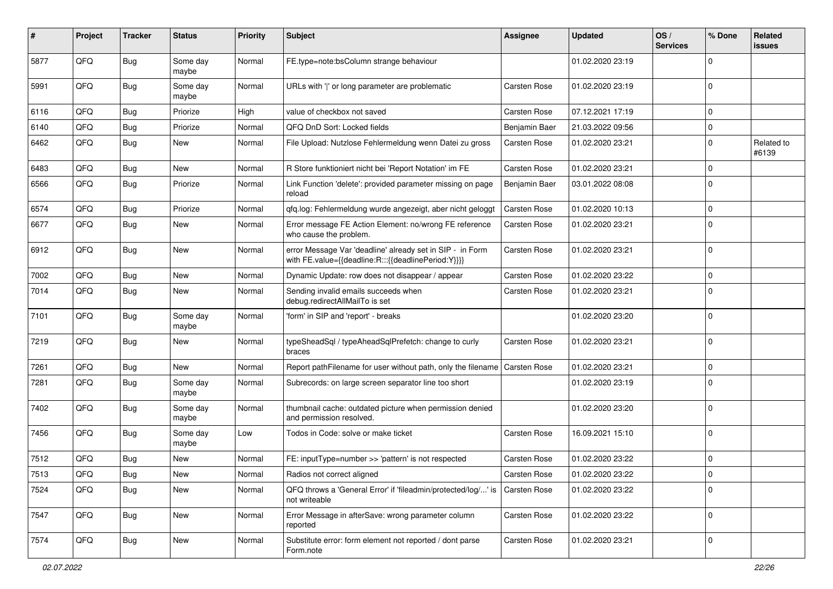| ∦    | Project | <b>Tracker</b> | <b>Status</b>     | <b>Priority</b> | Subject                                                                                                          | <b>Assignee</b> | <b>Updated</b>   | OS/<br><b>Services</b> | % Done      | Related<br><b>issues</b> |
|------|---------|----------------|-------------------|-----------------|------------------------------------------------------------------------------------------------------------------|-----------------|------------------|------------------------|-------------|--------------------------|
| 5877 | QFQ     | <b>Bug</b>     | Some day<br>maybe | Normal          | FE.type=note:bsColumn strange behaviour                                                                          |                 | 01.02.2020 23:19 |                        | $\Omega$    |                          |
| 5991 | QFQ     | <b>Bug</b>     | Some day<br>maybe | Normal          | URLs with ' ' or long parameter are problematic                                                                  | Carsten Rose    | 01.02.2020 23:19 |                        | $\mathbf 0$ |                          |
| 6116 | QFQ     | Bug            | Priorize          | High            | value of checkbox not saved                                                                                      | Carsten Rose    | 07.12.2021 17:19 |                        | $\mathbf 0$ |                          |
| 6140 | QFQ     | Bug            | Priorize          | Normal          | QFQ DnD Sort: Locked fields                                                                                      | Benjamin Baer   | 21.03.2022 09:56 |                        | $\mathbf 0$ |                          |
| 6462 | QFQ     | <b>Bug</b>     | New               | Normal          | File Upload: Nutzlose Fehlermeldung wenn Datei zu gross                                                          | Carsten Rose    | 01.02.2020 23:21 |                        | $\mathbf 0$ | Related to<br>#6139      |
| 6483 | QFQ     | Bug            | <b>New</b>        | Normal          | R Store funktioniert nicht bei 'Report Notation' im FE                                                           | Carsten Rose    | 01.02.2020 23:21 |                        | $\mathbf 0$ |                          |
| 6566 | QFQ     | Bug            | Priorize          | Normal          | Link Function 'delete': provided parameter missing on page<br>reload                                             | Benjamin Baer   | 03.01.2022 08:08 |                        | $\Omega$    |                          |
| 6574 | QFQ     | Bug            | Priorize          | Normal          | qfq.log: Fehlermeldung wurde angezeigt, aber nicht geloggt                                                       | Carsten Rose    | 01.02.2020 10:13 |                        | $\mathbf 0$ |                          |
| 6677 | QFQ     | Bug            | New               | Normal          | Error message FE Action Element: no/wrong FE reference<br>who cause the problem.                                 | Carsten Rose    | 01.02.2020 23:21 |                        | $\Omega$    |                          |
| 6912 | QFQ     | <b>Bug</b>     | <b>New</b>        | Normal          | error Message Var 'deadline' already set in SIP - in Form<br>with FE.value={{deadline:R:::{{deadlinePeriod:Y}}}} | Carsten Rose    | 01.02.2020 23:21 |                        | $\Omega$    |                          |
| 7002 | QFQ     | Bug            | New               | Normal          | Dynamic Update: row does not disappear / appear                                                                  | Carsten Rose    | 01.02.2020 23:22 |                        | 0           |                          |
| 7014 | QFQ     | Bug            | New               | Normal          | Sending invalid emails succeeds when<br>debug.redirectAllMailTo is set                                           | Carsten Rose    | 01.02.2020 23:21 |                        | $\Omega$    |                          |
| 7101 | QFQ     | Bug            | Some day<br>maybe | Normal          | 'form' in SIP and 'report' - breaks                                                                              |                 | 01.02.2020 23:20 |                        | $\mathbf 0$ |                          |
| 7219 | QFQ     | Bug            | New               | Normal          | typeSheadSql / typeAheadSqlPrefetch: change to curly<br>braces                                                   | Carsten Rose    | 01.02.2020 23:21 |                        | $\mathbf 0$ |                          |
| 7261 | QFQ     | Bug            | <b>New</b>        | Normal          | Report pathFilename for user without path, only the filename                                                     | Carsten Rose    | 01.02.2020 23:21 |                        | $\mathbf 0$ |                          |
| 7281 | QFQ     | <b>Bug</b>     | Some day<br>maybe | Normal          | Subrecords: on large screen separator line too short                                                             |                 | 01.02.2020 23:19 |                        | $\Omega$    |                          |
| 7402 | QFQ     | <b>Bug</b>     | Some day<br>maybe | Normal          | thumbnail cache: outdated picture when permission denied<br>and permission resolved.                             |                 | 01.02.2020 23:20 |                        | $\Omega$    |                          |
| 7456 | QFQ     | Bug            | Some day<br>maybe | Low             | Todos in Code: solve or make ticket                                                                              | Carsten Rose    | 16.09.2021 15:10 |                        | $\Omega$    |                          |
| 7512 | QFQ     | Bug            | New               | Normal          | FE: inputType=number >> 'pattern' is not respected                                                               | Carsten Rose    | 01.02.2020 23:22 |                        | $\mathbf 0$ |                          |
| 7513 | QFQ     | <b>Bug</b>     | New               | Normal          | Radios not correct aligned                                                                                       | Carsten Rose    | 01.02.2020 23:22 |                        | 0           |                          |
| 7524 | QFQ     | <b>Bug</b>     | New               | Normal          | QFQ throws a 'General Error' if 'fileadmin/protected/log/' is<br>not writeable                                   | Carsten Rose    | 01.02.2020 23:22 |                        | $\mathbf 0$ |                          |
| 7547 | QFQ     | Bug            | New               | Normal          | Error Message in afterSave: wrong parameter column<br>reported                                                   | Carsten Rose    | 01.02.2020 23:22 |                        | $\mathbf 0$ |                          |
| 7574 | QFQ     | <b>Bug</b>     | New               | Normal          | Substitute error: form element not reported / dont parse<br>Form.note                                            | Carsten Rose    | 01.02.2020 23:21 |                        | $\mathbf 0$ |                          |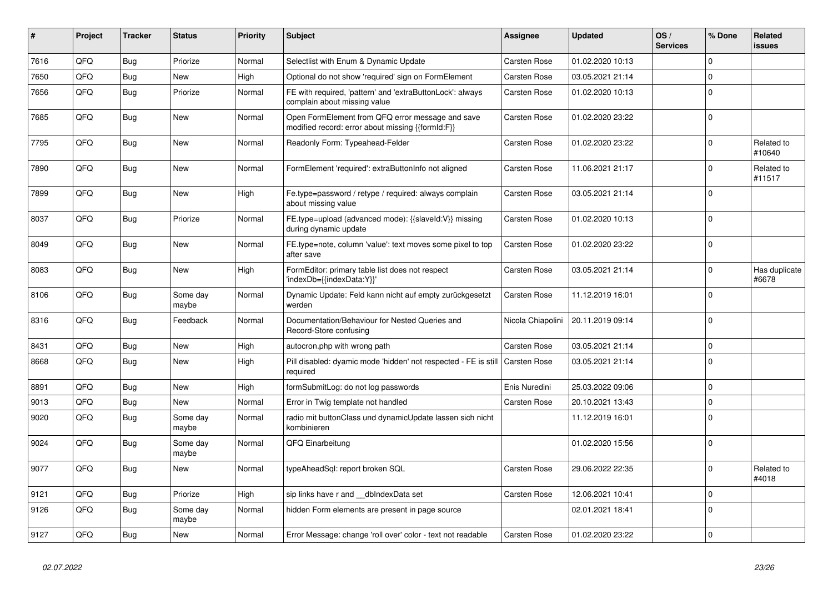| #    | Project | <b>Tracker</b> | <b>Status</b>     | Priority | <b>Subject</b>                                                                                        | <b>Assignee</b>     | <b>Updated</b>   | OS/<br><b>Services</b> | % Done      | Related<br><b>issues</b> |
|------|---------|----------------|-------------------|----------|-------------------------------------------------------------------------------------------------------|---------------------|------------------|------------------------|-------------|--------------------------|
| 7616 | QFQ     | Bug            | Priorize          | Normal   | Selectlist with Enum & Dynamic Update                                                                 | <b>Carsten Rose</b> | 01.02.2020 10:13 |                        | $\Omega$    |                          |
| 7650 | QFQ     | <b>Bug</b>     | New               | High     | Optional do not show 'required' sign on FormElement                                                   | Carsten Rose        | 03.05.2021 21:14 |                        | $\Omega$    |                          |
| 7656 | QFQ     | Bug            | Priorize          | Normal   | FE with required, 'pattern' and 'extraButtonLock': always<br>complain about missing value             | Carsten Rose        | 01.02.2020 10:13 |                        | $\Omega$    |                          |
| 7685 | QFQ     | Bug            | <b>New</b>        | Normal   | Open FormElement from QFQ error message and save<br>modified record: error about missing {{formId:F}} | <b>Carsten Rose</b> | 01.02.2020 23:22 |                        | $\Omega$    |                          |
| 7795 | QFQ     | <b>Bug</b>     | <b>New</b>        | Normal   | Readonly Form: Typeahead-Felder                                                                       | Carsten Rose        | 01.02.2020 23:22 |                        | $\Omega$    | Related to<br>#10640     |
| 7890 | QFQ     | Bug            | New               | Normal   | FormElement 'required': extraButtonInfo not aligned                                                   | Carsten Rose        | 11.06.2021 21:17 |                        | $\mathbf 0$ | Related to<br>#11517     |
| 7899 | QFQ     | <b>Bug</b>     | New               | High     | Fe.type=password / retype / required: always complain<br>about missing value                          | Carsten Rose        | 03.05.2021 21:14 |                        | $\Omega$    |                          |
| 8037 | QFQ     | <b>Bug</b>     | Priorize          | Normal   | FE.type=upload (advanced mode): {{slaveld:V}} missing<br>during dynamic update                        | <b>Carsten Rose</b> | 01.02.2020 10:13 |                        | $\Omega$    |                          |
| 8049 | QFQ     | <b>Bug</b>     | New               | Normal   | FE.type=note, column 'value': text moves some pixel to top<br>after save                              | Carsten Rose        | 01.02.2020 23:22 |                        | $\Omega$    |                          |
| 8083 | QFQ     | <b>Bug</b>     | New               | High     | FormEditor: primary table list does not respect<br>'indexDb={{indexData:Y}}'                          | Carsten Rose        | 03.05.2021 21:14 |                        | $\Omega$    | Has duplicate<br>#6678   |
| 8106 | QFQ     | <b>Bug</b>     | Some day<br>maybe | Normal   | Dynamic Update: Feld kann nicht auf empty zurückgesetzt<br>werden                                     | Carsten Rose        | 11.12.2019 16:01 |                        | $\Omega$    |                          |
| 8316 | QFQ     | Bug            | Feedback          | Normal   | Documentation/Behaviour for Nested Queries and<br>Record-Store confusing                              | Nicola Chiapolini   | 20.11.2019 09:14 |                        | $\Omega$    |                          |
| 8431 | QFQ     | Bug            | <b>New</b>        | High     | autocron.php with wrong path                                                                          | Carsten Rose        | 03.05.2021 21:14 |                        | $\Omega$    |                          |
| 8668 | QFQ     | Bug            | New               | High     | Pill disabled: dyamic mode 'hidden' not respected - FE is still<br>required                           | <b>Carsten Rose</b> | 03.05.2021 21:14 |                        | $\Omega$    |                          |
| 8891 | QFQ     | <b>Bug</b>     | New               | High     | formSubmitLog: do not log passwords                                                                   | Enis Nuredini       | 25.03.2022 09:06 |                        | $\Omega$    |                          |
| 9013 | QFQ     | Bug            | <b>New</b>        | Normal   | Error in Twig template not handled                                                                    | Carsten Rose        | 20.10.2021 13:43 |                        | $\Omega$    |                          |
| 9020 | QFQ     | <b>Bug</b>     | Some day<br>maybe | Normal   | radio mit buttonClass und dynamicUpdate lassen sich nicht<br>kombinieren                              |                     | 11.12.2019 16:01 |                        | $\Omega$    |                          |
| 9024 | QFQ     | Bug            | Some day<br>maybe | Normal   | QFQ Einarbeitung                                                                                      |                     | 01.02.2020 15:56 |                        | $\Omega$    |                          |
| 9077 | QFQ     | Bug            | <b>New</b>        | Normal   | typeAheadSql: report broken SQL                                                                       | Carsten Rose        | 29.06.2022 22:35 |                        | $\Omega$    | Related to<br>#4018      |
| 9121 | QFQ     | <b>Bug</b>     | Priorize          | High     | sip links have r and dblndexData set                                                                  | <b>Carsten Rose</b> | 12.06.2021 10:41 |                        | $\Omega$    |                          |
| 9126 | QFQ     | Bug            | Some day<br>maybe | Normal   | hidden Form elements are present in page source                                                       |                     | 02.01.2021 18:41 |                        | $\Omega$    |                          |
| 9127 | QFQ     | Bug            | New               | Normal   | Error Message: change 'roll over' color - text not readable                                           | <b>Carsten Rose</b> | 01.02.2020 23:22 |                        | $\Omega$    |                          |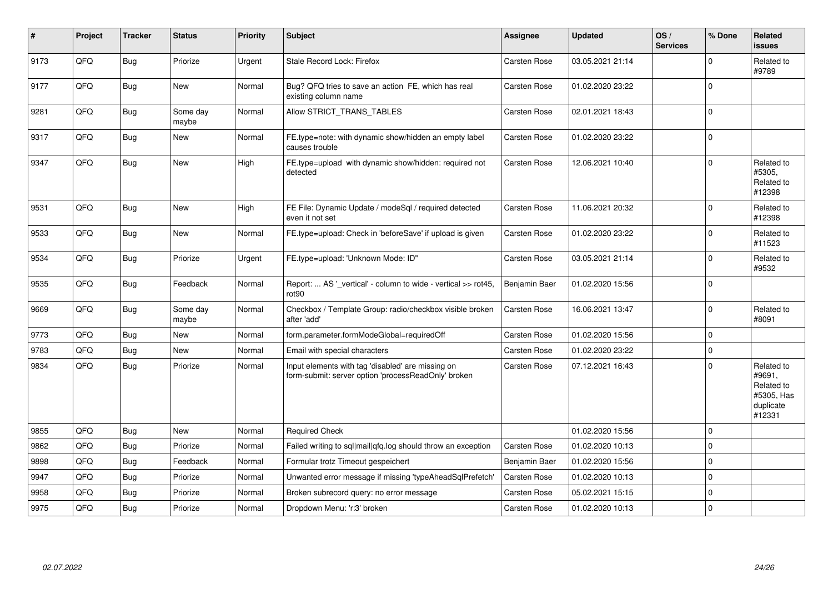| $\vert$ # | Project | <b>Tracker</b> | <b>Status</b>     | <b>Priority</b> | Subject                                                                                                  | <b>Assignee</b> | <b>Updated</b>   | OS/<br><b>Services</b> | % Done      | Related<br>issues                                                       |
|-----------|---------|----------------|-------------------|-----------------|----------------------------------------------------------------------------------------------------------|-----------------|------------------|------------------------|-------------|-------------------------------------------------------------------------|
| 9173      | QFQ     | <b>Bug</b>     | Priorize          | Urgent          | Stale Record Lock: Firefox                                                                               | Carsten Rose    | 03.05.2021 21:14 |                        | $\Omega$    | Related to<br>#9789                                                     |
| 9177      | QFQ     | <b>Bug</b>     | <b>New</b>        | Normal          | Bug? QFQ tries to save an action FE, which has real<br>existing column name                              | Carsten Rose    | 01.02.2020 23:22 |                        | $\Omega$    |                                                                         |
| 9281      | QFQ     | <b>Bug</b>     | Some day<br>maybe | Normal          | Allow STRICT TRANS TABLES                                                                                | Carsten Rose    | 02.01.2021 18:43 |                        | $\mathbf 0$ |                                                                         |
| 9317      | QFQ     | <b>Bug</b>     | New               | Normal          | FE.type=note: with dynamic show/hidden an empty label<br>causes trouble                                  | Carsten Rose    | 01.02.2020 23:22 |                        | $\mathbf 0$ |                                                                         |
| 9347      | QFQ     | <b>Bug</b>     | <b>New</b>        | High            | FE.type=upload with dynamic show/hidden: required not<br>detected                                        | Carsten Rose    | 12.06.2021 10:40 |                        | $\Omega$    | Related to<br>#5305,<br>Related to<br>#12398                            |
| 9531      | QFQ     | Bug            | <b>New</b>        | High            | FE File: Dynamic Update / modeSql / required detected<br>even it not set                                 | Carsten Rose    | 11.06.2021 20:32 |                        | $\mathbf 0$ | Related to<br>#12398                                                    |
| 9533      | QFQ     | Bug            | New               | Normal          | FE.type=upload: Check in 'beforeSave' if upload is given                                                 | Carsten Rose    | 01.02.2020 23:22 |                        | $\mathbf 0$ | Related to<br>#11523                                                    |
| 9534      | QFQ     | <b>Bug</b>     | Priorize          | Urgent          | FE.type=upload: 'Unknown Mode: ID"                                                                       | Carsten Rose    | 03.05.2021 21:14 |                        | $\mathbf 0$ | Related to<br>#9532                                                     |
| 9535      | QFQ     | <b>Bug</b>     | Feedback          | Normal          | Report:  AS ' vertical' - column to wide - vertical >> rot45,<br>rot <sub>90</sub>                       | Benjamin Baer   | 01.02.2020 15:56 |                        | $\mathbf 0$ |                                                                         |
| 9669      | QFQ     | Bug            | Some day<br>maybe | Normal          | Checkbox / Template Group: radio/checkbox visible broken<br>after 'add'                                  | Carsten Rose    | 16.06.2021 13:47 |                        | $\Omega$    | Related to<br>#8091                                                     |
| 9773      | QFQ     | <b>Bug</b>     | New               | Normal          | form.parameter.formModeGlobal=requiredOff                                                                | Carsten Rose    | 01.02.2020 15:56 |                        | $\mathbf 0$ |                                                                         |
| 9783      | QFQ     | Bug            | <b>New</b>        | Normal          | Email with special characters                                                                            | Carsten Rose    | 01.02.2020 23:22 |                        | $\mathbf 0$ |                                                                         |
| 9834      | QFQ     | Bug            | Priorize          | Normal          | Input elements with tag 'disabled' are missing on<br>form-submit: server option 'processReadOnly' broken | Carsten Rose    | 07.12.2021 16:43 |                        | $\Omega$    | Related to<br>#9691,<br>Related to<br>#5305, Has<br>duplicate<br>#12331 |
| 9855      | QFQ     | Bug            | <b>New</b>        | Normal          | <b>Required Check</b>                                                                                    |                 | 01.02.2020 15:56 |                        | $\Omega$    |                                                                         |
| 9862      | QFQ     | <b>Bug</b>     | Priorize          | Normal          | Failed writing to sql mail qfq.log should throw an exception                                             | Carsten Rose    | 01.02.2020 10:13 |                        | $\mathbf 0$ |                                                                         |
| 9898      | QFQ     | <b>Bug</b>     | Feedback          | Normal          | Formular trotz Timeout gespeichert                                                                       | Benjamin Baer   | 01.02.2020 15:56 |                        | $\mathbf 0$ |                                                                         |
| 9947      | QFQ     | <b>Bug</b>     | Priorize          | Normal          | Unwanted error message if missing 'typeAheadSqlPrefetch'                                                 | Carsten Rose    | 01.02.2020 10:13 |                        | $\mathbf 0$ |                                                                         |
| 9958      | QFQ     | <b>Bug</b>     | Priorize          | Normal          | Broken subrecord query: no error message                                                                 | Carsten Rose    | 05.02.2021 15:15 |                        | $\mathbf 0$ |                                                                         |
| 9975      | QFQ     | Bug            | Priorize          | Normal          | Dropdown Menu: 'r:3' broken                                                                              | Carsten Rose    | 01.02.2020 10:13 |                        | $\pmb{0}$   |                                                                         |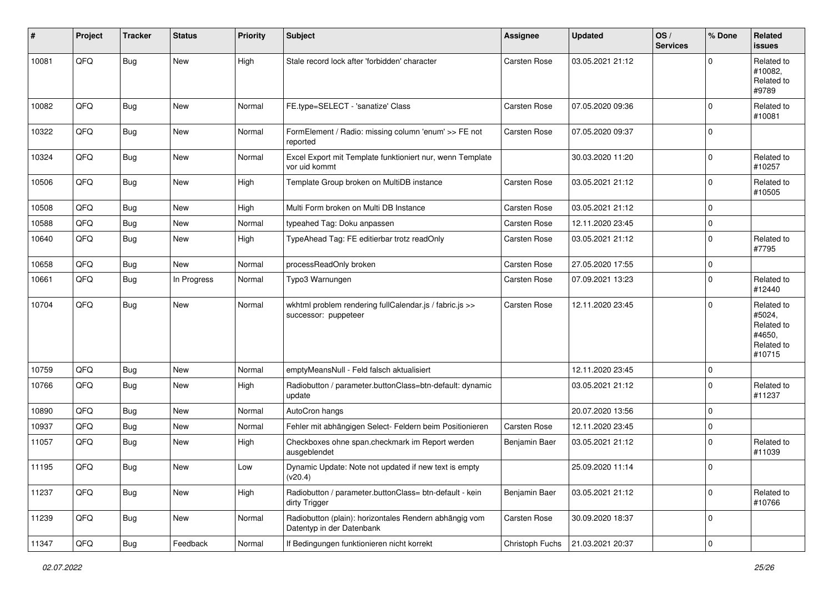| #     | Project | <b>Tracker</b> | <b>Status</b> | <b>Priority</b> | <b>Subject</b>                                                                      | <b>Assignee</b>     | <b>Updated</b>   | OS/<br><b>Services</b> | % Done      | Related<br><b>issues</b>                                             |
|-------|---------|----------------|---------------|-----------------|-------------------------------------------------------------------------------------|---------------------|------------------|------------------------|-------------|----------------------------------------------------------------------|
| 10081 | QFQ     | Bug            | New           | High            | Stale record lock after 'forbidden' character                                       | Carsten Rose        | 03.05.2021 21:12 |                        | $\mathbf 0$ | Related to<br>#10082,<br>Related to<br>#9789                         |
| 10082 | QFQ     | <b>Bug</b>     | New           | Normal          | FE.type=SELECT - 'sanatize' Class                                                   | Carsten Rose        | 07.05.2020 09:36 |                        | $\mathbf 0$ | Related to<br>#10081                                                 |
| 10322 | QFQ     | Bug            | New           | Normal          | FormElement / Radio: missing column 'enum' >> FE not<br>reported                    | <b>Carsten Rose</b> | 07.05.2020 09:37 |                        | $\pmb{0}$   |                                                                      |
| 10324 | QFQ     | Bug            | New           | Normal          | Excel Export mit Template funktioniert nur, wenn Template<br>vor uid kommt          |                     | 30.03.2020 11:20 |                        | $\mathbf 0$ | Related to<br>#10257                                                 |
| 10506 | QFQ     | Bug            | <b>New</b>    | High            | Template Group broken on MultiDB instance                                           | <b>Carsten Rose</b> | 03.05.2021 21:12 |                        | $\mathbf 0$ | Related to<br>#10505                                                 |
| 10508 | QFQ     | Bug            | New           | High            | Multi Form broken on Multi DB Instance                                              | Carsten Rose        | 03.05.2021 21:12 |                        | $\mathbf 0$ |                                                                      |
| 10588 | QFQ     | <b>Bug</b>     | <b>New</b>    | Normal          | typeahed Tag: Doku anpassen                                                         | Carsten Rose        | 12.11.2020 23:45 |                        | $\pmb{0}$   |                                                                      |
| 10640 | QFQ     | Bug            | New           | High            | TypeAhead Tag: FE editierbar trotz readOnly                                         | <b>Carsten Rose</b> | 03.05.2021 21:12 |                        | $\mathbf 0$ | Related to<br>#7795                                                  |
| 10658 | QFQ     | Bug            | <b>New</b>    | Normal          | processReadOnly broken                                                              | <b>Carsten Rose</b> | 27.05.2020 17:55 |                        | $\mathbf 0$ |                                                                      |
| 10661 | QFQ     | Bug            | In Progress   | Normal          | Typo3 Warnungen                                                                     | Carsten Rose        | 07.09.2021 13:23 |                        | $\pmb{0}$   | Related to<br>#12440                                                 |
| 10704 | QFQ     | <b>Bug</b>     | New           | Normal          | wkhtml problem rendering fullCalendar.js / fabric.js >><br>successor: puppeteer     | Carsten Rose        | 12.11.2020 23:45 |                        | $\mathbf 0$ | Related to<br>#5024,<br>Related to<br>#4650.<br>Related to<br>#10715 |
| 10759 | QFQ     | <b>Bug</b>     | New           | Normal          | emptyMeansNull - Feld falsch aktualisiert                                           |                     | 12.11.2020 23:45 |                        | 0           |                                                                      |
| 10766 | QFQ     | Bug            | <b>New</b>    | High            | Radiobutton / parameter.buttonClass=btn-default: dynamic<br>update                  |                     | 03.05.2021 21:12 |                        | $\mathbf 0$ | Related to<br>#11237                                                 |
| 10890 | QFQ     | Bug            | New           | Normal          | AutoCron hangs                                                                      |                     | 20.07.2020 13:56 |                        | $\mathbf 0$ |                                                                      |
| 10937 | QFQ     | Bug            | New           | Normal          | Fehler mit abhängigen Select- Feldern beim Positionieren                            | Carsten Rose        | 12.11.2020 23:45 |                        | $\pmb{0}$   |                                                                      |
| 11057 | QFQ     | Bug            | <b>New</b>    | High            | Checkboxes ohne span.checkmark im Report werden<br>ausgeblendet                     | Benjamin Baer       | 03.05.2021 21:12 |                        | $\mathbf 0$ | Related to<br>#11039                                                 |
| 11195 | QFQ     | Bug            | New           | Low             | Dynamic Update: Note not updated if new text is empty<br>(v20.4)                    |                     | 25.09.2020 11:14 |                        | $\mathbf 0$ |                                                                      |
| 11237 | QFQ     | <b>Bug</b>     | New           | High            | Radiobutton / parameter.buttonClass= btn-default - kein<br>dirty Trigger            | Benjamin Baer       | 03.05.2021 21:12 |                        | $\pmb{0}$   | Related to<br>#10766                                                 |
| 11239 | QFQ     | Bug            | New           | Normal          | Radiobutton (plain): horizontales Rendern abhängig vom<br>Datentyp in der Datenbank | Carsten Rose        | 30.09.2020 18:37 |                        | $\mathbf 0$ |                                                                      |
| 11347 | QFQ     | <b>Bug</b>     | Feedback      | Normal          | If Bedingungen funktionieren nicht korrekt                                          | Christoph Fuchs     | 21.03.2021 20:37 |                        | 0           |                                                                      |